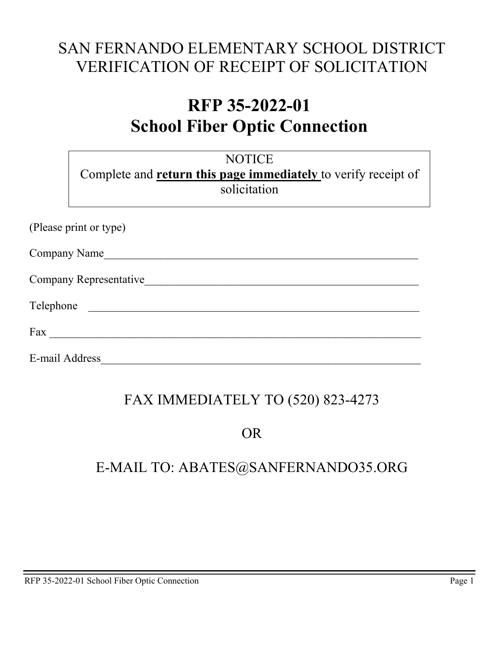# SAN FERNANDO ELEMENTARY SCHOOL DISTRICT VERIFICATION OF RECEIPT OF SOLICITATION

# **RFP 35-2022-01 School Fiber Optic Connection**

|                     | <b>NOTICE</b><br>Complete and <b>return this page immediately</b> to verify receipt of<br>solicitation |
|---------------------|--------------------------------------------------------------------------------------------------------|
|                     | (Please print or type)                                                                                 |
| <b>Company Name</b> |                                                                                                        |
|                     | Company Representative                                                                                 |
| Telephone           |                                                                                                        |
| Fax                 |                                                                                                        |
| E-mail Address      |                                                                                                        |

# FAX IMMEDIATELY TO (520) 823-4273

### OR

## E-MAIL TO: ABATES@SANFERNANDO35.ORG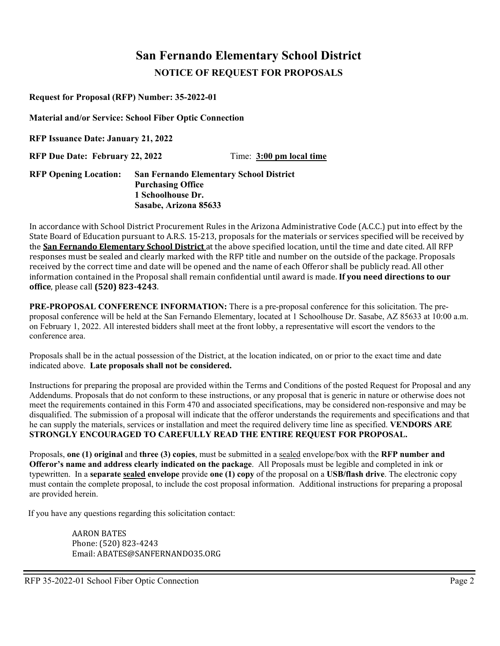### **San Fernando Elementary School District NOTICE OF REQUEST FOR PROPOSALS**

**Request for Proposal (RFP) Number: 35-2022-01** 

**Material and/or Service: School Fiber Optic Connection** 

**RFP Issuance Date: January 21, 2022**

**RFP Due Date: February 22, 2022** Time: 3:00 pm local time

#### **RFP Opening Location: San Fernando Elementary School District Purchasing Office 1 Schoolhouse Dr. Sasabe, Arizona 85633**

In accordance with School District Procurement Rules in the Arizona Administrative Code (A.C.C.) put into effect by the State Board of Education pursuant to A.R.S. 15-213, proposals for the materials or services specified will be received by the **San Fernando Elementary School District** at the above specified location, until the time and date cited. All RFP responses must be sealed and clearly marked with the RFP title and number on the outside of the package. Proposals received by the correct time and date will be opened and the name of each Offeror shall be publicly read. All other information contained in the Proposal shall remain confidential until award is made. **If you need directions to our office**, please call **(520) 823-4243**.

**PRE-PROPOSAL CONFERENCE INFORMATION:** There is a pre-proposal conference for this solicitation. The preproposal conference will be held at the San Fernando Elementary, located at 1 Schoolhouse Dr. Sasabe, AZ 85633 at 10:00 a.m. on February 1, 2022. All interested bidders shall meet at the front lobby, a representative will escort the vendors to the conference area.

Proposals shall be in the actual possession of the District, at the location indicated, on or prior to the exact time and date indicated above. **Late proposals shall not be considered.**

Instructions for preparing the proposal are provided within the Terms and Conditions of the posted Request for Proposal and any Addendums. Proposals that do not conform to these instructions, or any proposal that is generic in nature or otherwise does not meet the requirements contained in this Form 470 and associated specifications, may be considered non-responsive and may be disqualified. The submission of a proposal will indicate that the offeror understands the requirements and specifications and that he can supply the materials, services or installation and meet the required delivery time line as specified. **VENDORS ARE STRONGLY ENCOURAGED TO CAREFULLY READ THE ENTIRE REQUEST FOR PROPOSAL.**

Proposals, **one (1) original** and **three (3) copies**, must be submitted in a sealed envelope/box with the **RFP number and Offeror's name and address clearly indicated on the package**. All Proposals must be legible and completed in ink or typewritten. In a **separate sealed envelope** provide **one (1) copy** of the proposal on a **USB/flash drive**. The electronic copy must contain the complete proposal, to include the cost proposal information. Additional instructions for preparing a proposal are provided herein.

If you have any questions regarding this solicitation contact:

AARON BATES Phone: (520) 823-4243 Email: ABATES@SANFERNANDO35.ORG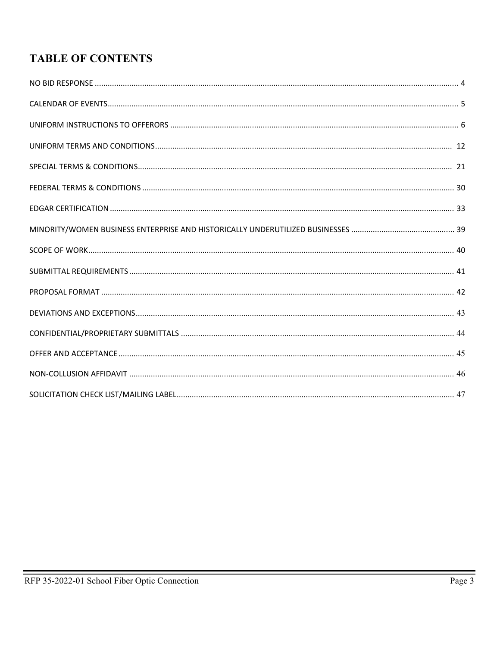### **TABLE OF CONTENTS**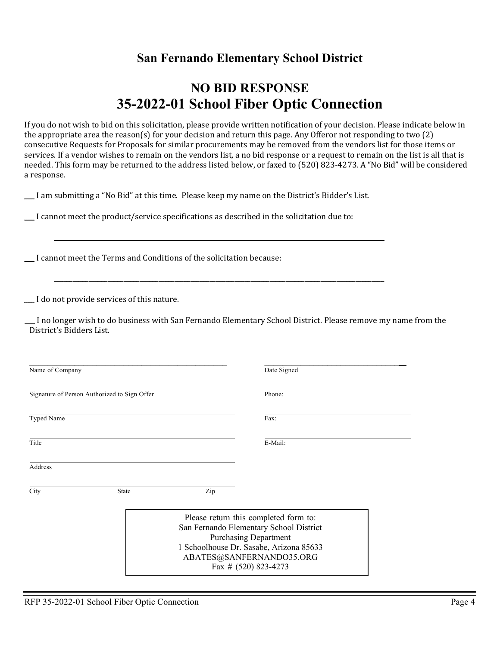### **San Fernando Elementary School District**

### **NO BID RESPONSE 35-2022-01 School Fiber Optic Connection**

If you do not wish to bid on this solicitation, please provide written notification of your decision. Please indicate below in the appropriate area the reason(s) for your decision and return this page. Any Offeror not responding to two (2) consecutive Requests for Proposals for similar procurements may be removed from the vendors list for those items or services. If a vendor wishes to remain on the vendors list, a no bid response or a request to remain on the list is all that is needed. This form may be returned to the address listed below, or faxed to (520) 823-4273. A "No Bid" will be considered a response.

\_\_\_\_\_\_ I am submitting a "No Bid" at this time. Please keep my name on the District's Bidder's List.

\_\_\_\_\_\_\_\_\_\_\_\_\_\_\_\_\_\_\_\_\_\_\_\_\_\_\_\_\_\_\_\_\_\_\_\_\_\_\_\_\_\_\_\_\_\_\_\_\_\_\_\_\_\_\_\_\_\_\_\_\_\_\_\_\_\_\_\_\_\_\_\_\_\_\_\_\_\_\_\_\_\_\_\_\_\_\_\_\_\_\_\_\_\_\_\_\_\_\_\_\_\_\_\_

\_\_\_\_\_\_\_\_\_\_\_\_\_\_\_\_\_\_\_\_\_\_\_\_\_\_\_\_\_\_\_\_\_\_\_\_\_\_\_\_\_\_\_\_\_\_\_\_\_\_\_\_\_\_\_\_\_\_\_\_\_\_\_\_\_\_\_\_\_\_\_\_\_\_\_\_\_\_\_\_\_\_\_\_\_\_\_\_\_\_\_\_\_\_\_\_\_\_\_\_\_\_\_\_

\_\_\_\_\_\_ I cannot meet the product/service specifications as described in the solicitation due to:

\_\_\_\_\_\_ I cannot meet the Terms and Conditions of the solicitation because:

\_\_\_\_\_\_ I do not provide services of this nature.

 \_\_\_\_\_\_ I no longer wish to do business with San Fernando Elementary School District. Please remove my name from the District's Bidders List.

| Name of Company                                                            |       | Date Signed                                                                                                                                                                                                       |                |  |
|----------------------------------------------------------------------------|-------|-------------------------------------------------------------------------------------------------------------------------------------------------------------------------------------------------------------------|----------------|--|
| Signature of Person Authorized to Sign Offer<br><b>Typed Name</b><br>Title |       |                                                                                                                                                                                                                   | Phone:<br>Fax: |  |
|                                                                            |       |                                                                                                                                                                                                                   |                |  |
| Address                                                                    |       |                                                                                                                                                                                                                   |                |  |
| City                                                                       | State | Zip                                                                                                                                                                                                               |                |  |
|                                                                            |       | Please return this completed form to:<br>San Fernando Elementary School District<br><b>Purchasing Department</b><br>1 Schoolhouse Dr. Sasabe, Arizona 85633<br>ABATES@SANFERNANDO35.ORG<br>Fax # $(520)$ 823-4273 |                |  |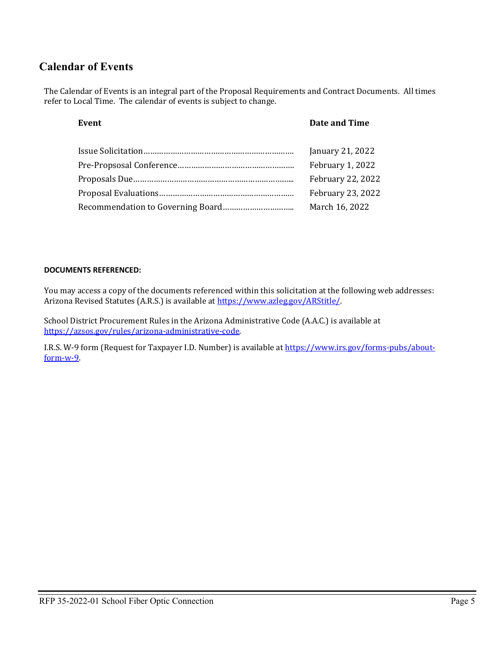### **Calendar of Events**

The Calendar of Events is an integral part of the Proposal Requirements and Contract Documents. All times refer to Local Time. The calendar of events is subject to change.

#### **Event Date and Time**

| January 21, 2022  |
|-------------------|
| February 1, 2022  |
| February 22, 2022 |
| February 23, 2022 |
| March 16, 2022    |

#### **DOCUMENTS REFERENCED:**

You may access a copy of the documents referenced within this solicitation at the following web addresses: Arizona Revised Statutes (A.R.S.) is available at https://www.azleg.gov/ARStitle/.

School District Procurement Rules in the Arizona Administrative Code (A.A.C.) is available at [https://azsos.gov/rules/arizona-administrative-code.](https://azsos.gov/rules/arizona-administrative-code) 

I.R.S. W-9 form (Request for Taxpayer I.D. Number) is available a[t https://www.irs.gov/forms-pubs/about](https://www.irs.gov/forms-pubs/about-form-w-9)[form-w-9.](https://www.irs.gov/forms-pubs/about-form-w-9)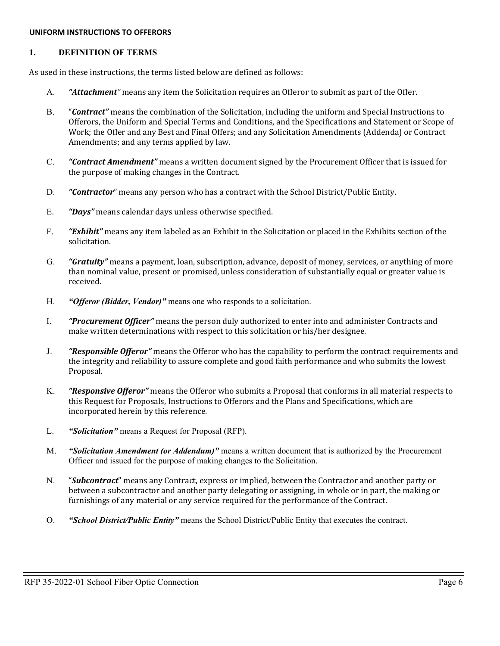#### **UNIFORM INSTRUCTIONS TO OFFERORS**

#### **1. DEFINITION OF TERMS**

As used in these instructions, the terms listed below are defined as follows:

- A. *"Attachment"* means any item the Solicitation requires an Offeror to submit as part of the Offer.
- B. "*Contract"* means the combination of the Solicitation, including the uniform and Special Instructions to Offerors, the Uniform and Special Terms and Conditions, and the Specifications and Statement or Scope of Work; the Offer and any Best and Final Offers; and any Solicitation Amendments (Addenda) or Contract Amendments; and any terms applied by law.
- C. *"Contract Amendment"* means a written document signed by the Procurement Officer that is issued for the purpose of making changes in the Contract.
- D. *"Contractor*" means any person who has a contract with the School District/Public Entity.
- E. *"Days"* means calendar days unless otherwise specified.
- F. *"Exhibit"* means any item labeled as an Exhibit in the Solicitation or placed in the Exhibits section of the solicitation.
- G. *"Gratuity"* means a payment, loan, subscription, advance, deposit of money, services, or anything of more than nominal value, present or promised, unless consideration of substantially equal or greater value is received.
- H. *"Offeror (Bidder, Vendor)"* means one who responds to a solicitation.
- I. *"Procurement Officer"* means the person duly authorized to enter into and administer Contracts and make written determinations with respect to this solicitation or his/her designee.
- J. *"Responsible Offeror"* means the Offeror who has the capability to perform the contract requirements and the integrity and reliability to assure complete and good faith performance and who submits the lowest Proposal.
- K. *"Responsive Offeror"* means the Offeror who submits a Proposal that conforms in all material respects to this Request for Proposals, Instructions to Offerors and the Plans and Specifications, which are incorporated herein by this reference.
- L. *"Solicitation"* means a Request for Proposal (RFP).
- M. *"Solicitation Amendment (or Addendum)"* means a written document that is authorized by the Procurement Officer and issued for the purpose of making changes to the Solicitation.
- N. "*Subcontract*" means any Contract, express or implied, between the Contractor and another party or between a subcontractor and another party delegating or assigning, in whole or in part, the making or furnishings of any material or any service required for the performance of the Contract.
- O. *"School District/Public Entity"* means the School District/Public Entity that executes the contract.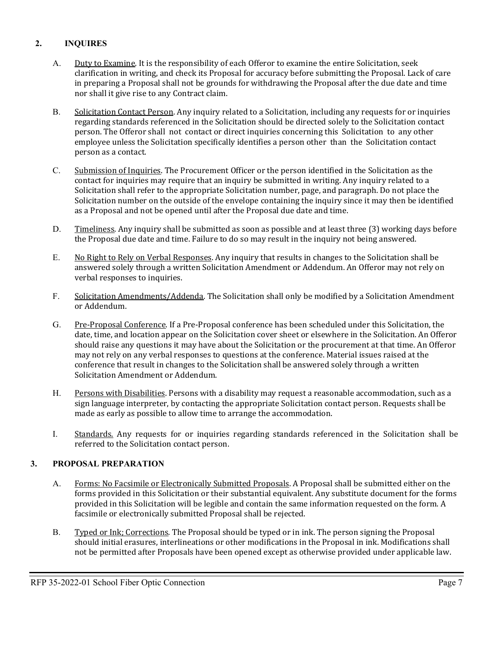#### **2. INQUIRES**

- A. Duty to Examine. It is the responsibility of each Offeror to examine the entire Solicitation, seek clarification in writing, and check its Proposal for accuracy before submitting the Proposal. Lack of care in preparing a Proposal shall not be grounds for withdrawing the Proposal after the due date and time nor shall it give rise to any Contract claim.
- B. Solicitation Contact Person. Any inquiry related to a Solicitation, including any requests for or inquiries regarding standards referenced in the Solicitation should be directed solely to the Solicitation contact person. The Offeror shall not contact or direct inquiries concerning this Solicitation to any other employee unless the Solicitation specifically identifies a person other than the Solicitation contact person as a contact.
- C. Submission of Inquiries. The Procurement Officer or the person identified in the Solicitation as the contact for inquiries may require that an inquiry be submitted in writing. Any inquiry related to a Solicitation shall refer to the appropriate Solicitation number, page, and paragraph. Do not place the Solicitation number on the outside of the envelope containing the inquiry since it may then be identified as a Proposal and not be opened until after the Proposal due date and time.
- D. Timeliness. Any inquiry shall be submitted as soon as possible and at least three (3) working days before the Proposal due date and time. Failure to do so may result in the inquiry not being answered.
- E. No Right to Rely on Verbal Responses. Any inquiry that results in changes to the Solicitation shall be answered solely through a written Solicitation Amendment or Addendum. An Offeror may not rely on verbal responses to inquiries.
- F. Solicitation Amendments/Addenda. The Solicitation shall only be modified by a Solicitation Amendment or Addendum.
- G. Pre-Proposal Conference. If a Pre-Proposal conference has been scheduled under this Solicitation, the date, time, and location appear on the Solicitation cover sheet or elsewhere in the Solicitation. An Offeror should raise any questions it may have about the Solicitation or the procurement at that time. An Offeror may not rely on any verbal responses to questions at the conference. Material issues raised at the conference that result in changes to the Solicitation shall be answered solely through a written Solicitation Amendment or Addendum.
- H. Persons with Disabilities. Persons with a disability may request a reasonable accommodation, such as a sign language interpreter, by contacting the appropriate Solicitation contact person. Requests shall be made as early as possible to allow time to arrange the accommodation.
- I. Standards. Any requests for or inquiries regarding standards referenced in the Solicitation shall be referred to the Solicitation contact person.

#### **3. PROPOSAL PREPARATION**

- A. Forms: No Facsimile or Electronically Submitted Proposals. A Proposal shall be submitted either on the forms provided in this Solicitation or their substantial equivalent. Any substitute document for the forms provided in this Solicitation will be legible and contain the same information requested on the form. A facsimile or electronically submitted Proposal shall be rejected.
- B. Typed or Ink; Corrections. The Proposal should be typed or in ink. The person signing the Proposal should initial erasures, interlineations or other modifications in the Proposal in ink. Modifications shall not be permitted after Proposals have been opened except as otherwise provided under applicable law.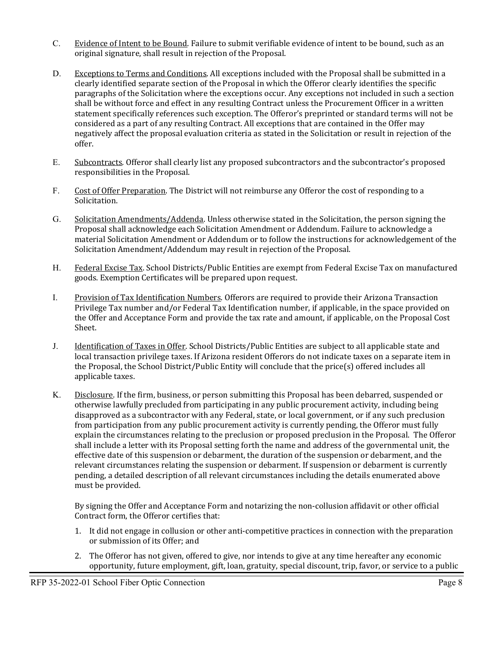- C. Evidence of Intent to be Bound. Failure to submit verifiable evidence of intent to be bound, such as an original signature, shall result in rejection of the Proposal.
- D. Exceptions to Terms and Conditions. All exceptions included with the Proposal shall be submitted in a clearly identified separate section of the Proposal in which the Offeror clearly identifies the specific paragraphs of the Solicitation where the exceptions occur. Any exceptions not included in such a section shall be without force and effect in any resulting Contract unless the Procurement Officer in a written statement specifically references such exception. The Offeror's preprinted or standard terms will not be considered as a part of any resulting Contract. All exceptions that are contained in the Offer may negatively affect the proposal evaluation criteria as stated in the Solicitation or result in rejection of the offer.
- E. Subcontracts. Offeror shall clearly list any proposed subcontractors and the subcontractor's proposed responsibilities in the Proposal.
- F. Cost of Offer Preparation. The District will not reimburse any Offeror the cost of responding to a Solicitation.
- G. Solicitation Amendments/Addenda. Unless otherwise stated in the Solicitation, the person signing the Proposal shall acknowledge each Solicitation Amendment or Addendum. Failure to acknowledge a material Solicitation Amendment or Addendum or to follow the instructions for acknowledgement of the Solicitation Amendment/Addendum may result in rejection of the Proposal.
- H. Federal Excise Tax. School Districts/Public Entities are exempt from Federal Excise Tax on manufactured goods. Exemption Certificates will be prepared upon request.
- I. Provision of Tax Identification Numbers. Offerors are required to provide their Arizona Transaction Privilege Tax number and/or Federal Tax Identification number, if applicable, in the space provided on the Offer and Acceptance Form and provide the tax rate and amount, if applicable, on the Proposal Cost Sheet.
- J. Identification of Taxes in Offer. School Districts/Public Entities are subject to all applicable state and local transaction privilege taxes. If Arizona resident Offerors do not indicate taxes on a separate item in the Proposal, the School District/Public Entity will conclude that the price(s) offered includes all applicable taxes.
- K. Disclosure. If the firm, business, or person submitting this Proposal has been debarred, suspended or otherwise lawfully precluded from participating in any public procurement activity, including being disapproved as a subcontractor with any Federal, state, or local government, or if any such preclusion from participation from any public procurement activity is currently pending, the Offeror must fully explain the circumstances relating to the preclusion or proposed preclusion in the Proposal. The Offeror shall include a letter with its Proposal setting forth the name and address of the governmental unit, the effective date of this suspension or debarment, the duration of the suspension or debarment, and the relevant circumstances relating the suspension or debarment. If suspension or debarment is currently pending, a detailed description of all relevant circumstances including the details enumerated above must be provided.

By signing the Offer and Acceptance Form and notarizing the non-collusion affidavit or other official Contract form, the Offeror certifies that:

- 1. It did not engage in collusion or other anti-competitive practices in connection with the preparation or submission of its Offer; and
- 2. The Offeror has not given, offered to give, nor intends to give at any time hereafter any economic opportunity, future employment, gift, loan, gratuity, special discount, trip, favor, or service to a public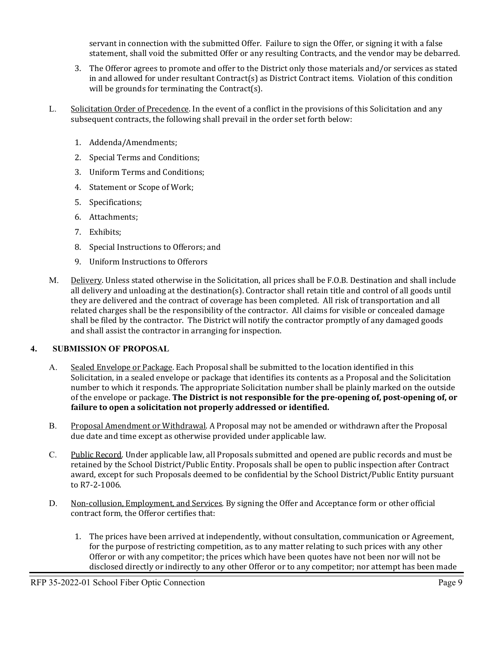servant in connection with the submitted Offer. Failure to sign the Offer, or signing it with a false statement, shall void the submitted Offer or any resulting Contracts, and the vendor may be debarred.

- 3. The Offeror agrees to promote and offer to the District only those materials and/or services as stated in and allowed for under resultant Contract(s) as District Contract items. Violation of this condition will be grounds for terminating the Contract(s).
- L. Solicitation Order of Precedence. In the event of a conflict in the provisions of this Solicitation and any subsequent contracts, the following shall prevail in the order set forth below:
	- 1. Addenda/Amendments;
	- 2. Special Terms and Conditions;
	- 3. Uniform Terms and Conditions;
	- 4. Statement or Scope of Work;
	- 5. Specifications;
	- 6. Attachments;
	- 7. Exhibits;
	- 8. Special Instructions to Offerors; and
	- 9. Uniform Instructions to Offerors
- M. Delivery. Unless stated otherwise in the Solicitation, all prices shall be F.O.B. Destination and shall include all delivery and unloading at the destination(s). Contractor shall retain title and control of all goods until they are delivered and the contract of coverage has been completed. All risk of transportation and all related charges shall be the responsibility of the contractor. All claims for visible or concealed damage shall be filed by the contractor. The District will notify the contractor promptly of any damaged goods and shall assist the contractor in arranging for inspection.

#### **4. SUBMISSION OF PROPOSAL**

- A. Sealed Envelope or Package. Each Proposal shall be submitted to the location identified in this Solicitation, in a sealed envelope or package that identifies its contents as a Proposal and the Solicitation number to which it responds. The appropriate Solicitation number shall be plainly marked on the outside of the envelope or package. **The District is not responsible for the pre-opening of, post-opening of, or failure to open a solicitation not properly addressed or identified.**
- B. Proposal Amendment or Withdrawal. A Proposal may not be amended or withdrawn after the Proposal due date and time except as otherwise provided under applicable law.
- C. Public Record. Under applicable law, all Proposals submitted and opened are public records and must be retained by the School District/Public Entity. Proposals shall be open to public inspection after Contract award, except for such Proposals deemed to be confidential by the School District/Public Entity pursuant to R7-2-1006.
- D. Non-collusion, Employment, and Services. By signing the Offer and Acceptance form or other official contract form, the Offeror certifies that:
	- 1. The prices have been arrived at independently, without consultation, communication or Agreement, for the purpose of restricting competition, as to any matter relating to such prices with any other Offeror or with any competitor; the prices which have been quotes have not been nor will not be disclosed directly or indirectly to any other Offeror or to any competitor; nor attempt has been made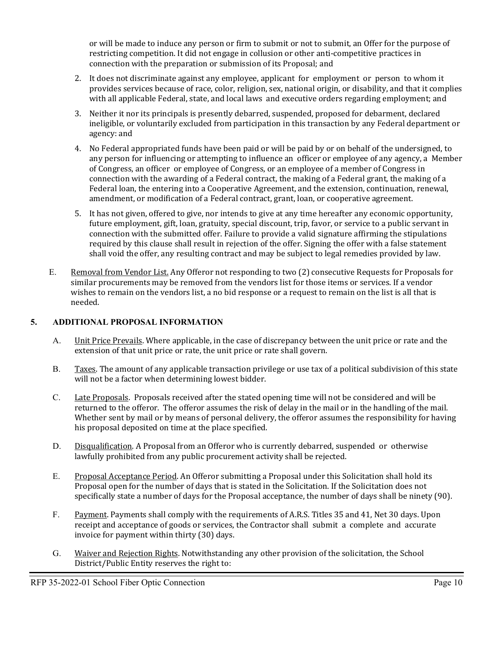or will be made to induce any person or firm to submit or not to submit, an Offer for the purpose of restricting competition. It did not engage in collusion or other anti-competitive practices in connection with the preparation or submission of its Proposal; and

- 2. It does not discriminate against any employee, applicant for employment or person to whom it provides services because of race, color, religion, sex, national origin, or disability, and that it complies with all applicable Federal, state, and local laws and executive orders regarding employment; and
- 3. Neither it nor its principals is presently debarred, suspended, proposed for debarment, declared ineligible, or voluntarily excluded from participation in this transaction by any Federal department or agency: and
- 4. No Federal appropriated funds have been paid or will be paid by or on behalf of the undersigned, to any person for influencing or attempting to influence an officer or employee of any agency, a Member of Congress, an officer or employee of Congress, or an employee of a member of Congress in connection with the awarding of a Federal contract, the making of a Federal grant, the making of a Federal loan, the entering into a Cooperative Agreement, and the extension, continuation, renewal, amendment, or modification of a Federal contract, grant, loan, or cooperative agreement.
- 5. It has not given, offered to give, nor intends to give at any time hereafter any economic opportunity, future employment, gift, loan, gratuity, special discount, trip, favor, or service to a public servant in connection with the submitted offer. Failure to provide a valid signature affirming the stipulations required by this clause shall result in rejection of the offer. Signing the offer with a false statement shall void the offer, any resulting contract and may be subject to legal remedies provided by law.
- E. Removal from Vendor List. Any Offeror not responding to two (2) consecutive Requests for Proposals for similar procurements may be removed from the vendors list for those items or services. If a vendor wishes to remain on the vendors list, a no bid response or a request to remain on the list is all that is needed.

#### **5. ADDITIONAL PROPOSAL INFORMATION**

- A. Unit Price Prevails. Where applicable, in the case of discrepancy between the unit price or rate and the extension of that unit price or rate, the unit price or rate shall govern.
- B. Taxes. The amount of any applicable transaction privilege or use tax of a political subdivision of this state will not be a factor when determining lowest bidder.
- C. Late Proposals. Proposals received after the stated opening time will not be considered and will be returned to the offeror. The offeror assumes the risk of delay in the mail or in the handling of the mail. Whether sent by mail or by means of personal delivery, the offeror assumes the responsibility for having his proposal deposited on time at the place specified.
- D. Disqualification. A Proposal from an Offeror who is currently debarred, suspended or otherwise lawfully prohibited from any public procurement activity shall be rejected.
- E. Proposal Acceptance Period. An Offeror submitting a Proposal under this Solicitation shall hold its Proposal open for the number of days that is stated in the Solicitation. If the Solicitation does not specifically state a number of days for the Proposal acceptance, the number of days shall be ninety (90).
- F. Payment. Payments shall comply with the requirements of A.R.S. Titles 35 and 41, Net 30 days. Upon receipt and acceptance of goods or services, the Contractor shall submit a complete and accurate invoice for payment within thirty (30) days.
- G. Waiver and Rejection Rights. Notwithstanding any other provision of the solicitation, the School District/Public Entity reserves the right to: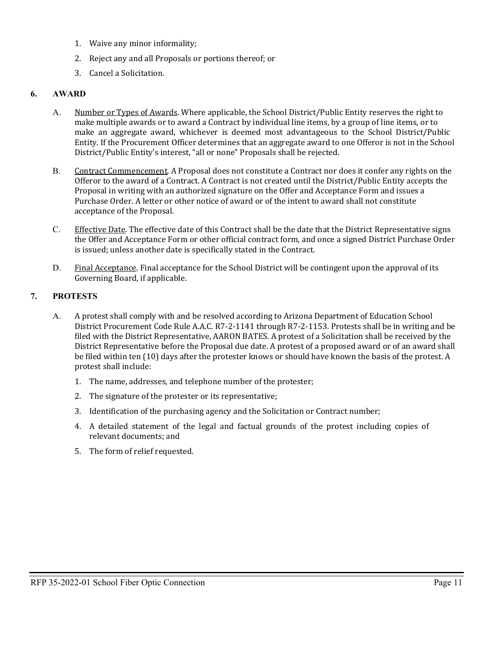- 1. Waive any minor informality;
- 2. Reject any and all Proposals or portions thereof; or
- 3. Cancel a Solicitation.

#### **6. AWARD**

- A. Number or Types of Awards. Where applicable, the School District/Public Entity reserves the right to make multiple awards or to award a Contract by individual line items, by a group of line items, or to make an aggregate award, whichever is deemed most advantageous to the School District/Public Entity. If the Procurement Officer determines that an aggregate award to one Offeror is not in the School District/Public Entity's interest, "all or none" Proposals shall be rejected.
- B. Contract Commencement. A Proposal does not constitute a Contract nor does it confer any rights on the Offeror to the award of a Contract. A Contract is not created until the District/Public Entity accepts the Proposal in writing with an authorized signature on the Offer and Acceptance Form and issues a Purchase Order. A letter or other notice of award or of the intent to award shall not constitute acceptance of the Proposal.
- C. Effective Date. The effective date of this Contract shall be the date that the District Representative signs the Offer and Acceptance Form or other official contract form, and once a signed District Purchase Order is issued; unless another date is specifically stated in the Contract.
- D. Final Acceptance. Final acceptance for the School District will be contingent upon the approval of its Governing Board, if applicable.

#### **7. PROTESTS**

- A. A protest shall comply with and be resolved according to Arizona Department of Education School District Procurement Code Rule A.A.C. R7-2-1141 through R7-2-1153. Protests shall be in writing and be filed with the District Representative, AARON BATES. A protest of a Solicitation shall be received by the District Representative before the Proposal due date. A protest of a proposed award or of an award shall be filed within ten (10) days after the protester knows or should have known the basis of the protest. A protest shall include:
	- 1. The name, addresses, and telephone number of the protester;
	- 2. The signature of the protester or its representative;
	- 3. Identification of the purchasing agency and the Solicitation or Contract number;
	- 4. A detailed statement of the legal and factual grounds of the protest including copies of relevant documents; and
	- 5. The form of relief requested.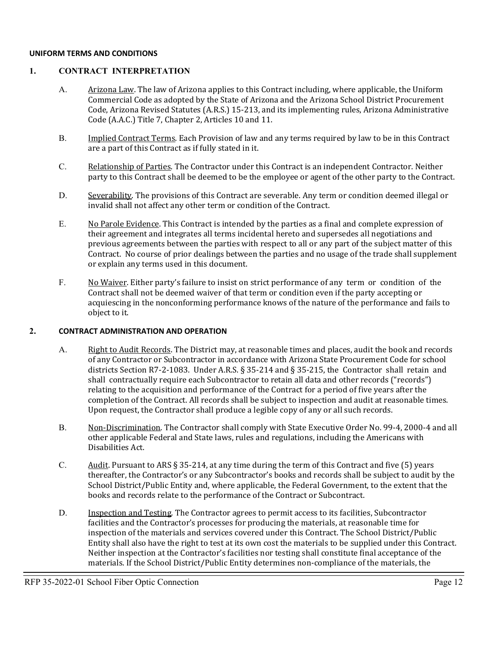#### **UNIFORM TERMS AND CONDITIONS**

#### **1. CONTRACT INTERPRETATION**

- A. Arizona Law. The law of Arizona applies to this Contract including, where applicable, the Uniform Commercial Code as adopted by the State of Arizona and the Arizona School District Procurement Code, Arizona Revised Statutes (A.R.S.) 15-213, and its implementing rules, Arizona Administrative Code (A.A.C.) Title 7, Chapter 2, Articles 10 and 11.
- B. **Implied Contract Terms.** Each Provision of law and any terms required by law to be in this Contract are a part of this Contract as if fully stated in it.
- C. Relationship of Parties. The Contractor under this Contract is an independent Contractor. Neither party to this Contract shall be deemed to be the employee or agent of the other party to the Contract.
- D. Severability. The provisions of this Contract are severable. Any term or condition deemed illegal or invalid shall not affect any other term or condition of the Contract.
- E. No Parole Evidence. This Contract is intended by the parties as a final and complete expression of their agreement and integrates all terms incidental hereto and supersedes all negotiations and previous agreements between the parties with respect to all or any part of the subject matter of this Contract. No course of prior dealings between the parties and no usage of the trade shall supplement or explain any terms used in this document.
- F. No Waiver. Either party's failure to insist on strict performance of any term or condition of the Contract shall not be deemed waiver of that term or condition even if the party accepting or acquiescing in the nonconforming performance knows of the nature of the performance and fails to object to it.

#### **2. CONTRACT ADMINISTRATION AND OPERATION**

- A. Right to Audit Records. The District may, at reasonable times and places, audit the book and records of any Contractor or Subcontractor in accordance with Arizona State Procurement Code for school districts Section R7-2-1083. Under A.R.S. § 35-214 and § 35-215, the Contractor shall retain and shall contractually require each Subcontractor to retain all data and other records ("records") relating to the acquisition and performance of the Contract for a period of five years after the completion of the Contract. All records shall be subject to inspection and audit at reasonable times. Upon request, the Contractor shall produce a legible copy of any or all such records.
- B. Non-Discrimination. The Contractor shall comply with State Executive Order No. 99-4, 2000-4 and all other applicable Federal and State laws, rules and regulations, including the Americans with Disabilities Act.
- C. Audit. Pursuant to ARS § 35-214, at any time during the term of this Contract and five (5) years thereafter, the Contractor's or any Subcontractor's books and records shall be subject to audit by the School District/Public Entity and, where applicable, the Federal Government, to the extent that the books and records relate to the performance of the Contract or Subcontract.
- D. Inspection and Testing. The Contractor agrees to permit access to its facilities, Subcontractor facilities and the Contractor's processes for producing the materials, at reasonable time for inspection of the materials and services covered under this Contract. The School District/Public Entity shall also have the right to test at its own cost the materials to be supplied under this Contract. Neither inspection at the Contractor's facilities nor testing shall constitute final acceptance of the materials. If the School District/Public Entity determines non-compliance of the materials, the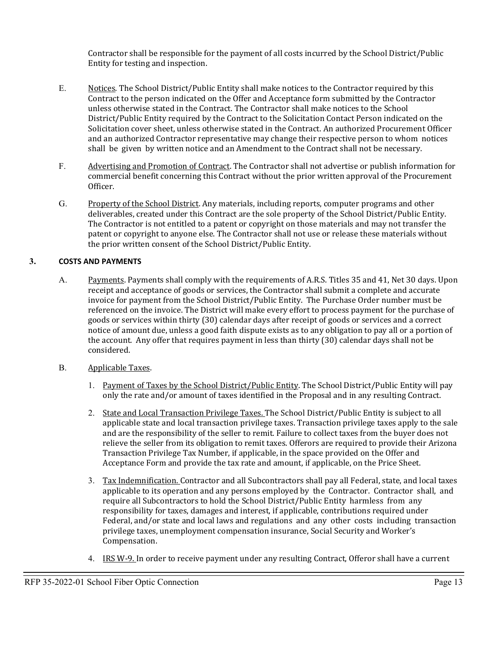Contractor shall be responsible for the payment of all costs incurred by the School District/Public Entity for testing and inspection.

- E. Notices. The School District/Public Entity shall make notices to the Contractor required by this Contract to the person indicated on the Offer and Acceptance form submitted by the Contractor unless otherwise stated in the Contract. The Contractor shall make notices to the School District/Public Entity required by the Contract to the Solicitation Contact Person indicated on the Solicitation cover sheet, unless otherwise stated in the Contract. An authorized Procurement Officer and an authorized Contractor representative may change their respective person to whom notices shall be given by written notice and an Amendment to the Contract shall not be necessary.
- F. Advertising and Promotion of Contract. The Contractor shall not advertise or publish information for commercial benefit concerning this Contract without the prior written approval of the Procurement Officer.
- G. Property of the School District. Any materials, including reports, computer programs and other deliverables, created under this Contract are the sole property of the School District/Public Entity. The Contractor is not entitled to a patent or copyright on those materials and may not transfer the patent or copyright to anyone else. The Contractor shall not use or release these materials without the prior written consent of the School District/Public Entity.

#### **3. COSTS AND PAYMENTS**

- A. Payments. Payments shall comply with the requirements of A.R.S. Titles 35 and 41, Net 30 days. Upon receipt and acceptance of goods or services, the Contractor shall submit a complete and accurate invoice for payment from the School District/Public Entity. The Purchase Order number must be referenced on the invoice. The District will make every effort to process payment for the purchase of goods or services within thirty (30) calendar days after receipt of goods or services and a correct notice of amount due, unless a good faith dispute exists as to any obligation to pay all or a portion of the account. Any offer that requires payment in less than thirty (30) calendar days shall not be considered.
- B. Applicable Taxes.
	- 1. Payment of Taxes by the School District/Public Entity. The School District/Public Entity will pay only the rate and/or amount of taxes identified in the Proposal and in any resulting Contract.
	- 2. State and Local Transaction Privilege Taxes. The School District/Public Entity is subject to all applicable state and local transaction privilege taxes. Transaction privilege taxes apply to the sale and are the responsibility of the seller to remit. Failure to collect taxes from the buyer does not relieve the seller from its obligation to remit taxes. Offerors are required to provide their Arizona Transaction Privilege Tax Number, if applicable, in the space provided on the Offer and Acceptance Form and provide the tax rate and amount, if applicable, on the Price Sheet.
	- 3. Tax Indemnification. Contractor and all Subcontractors shall pay all Federal, state, and local taxes applicable to its operation and any persons employed by the Contractor. Contractor shall, and require all Subcontractors to hold the School District/Public Entity harmless from any responsibility for taxes, damages and interest, if applicable, contributions required under Federal, and/or state and local laws and regulations and any other costs including transaction privilege taxes, unemployment compensation insurance, Social Security and Worker's Compensation.
	- 4. IRS W-9. In order to receive payment under any resulting Contract, Offeror shall have a current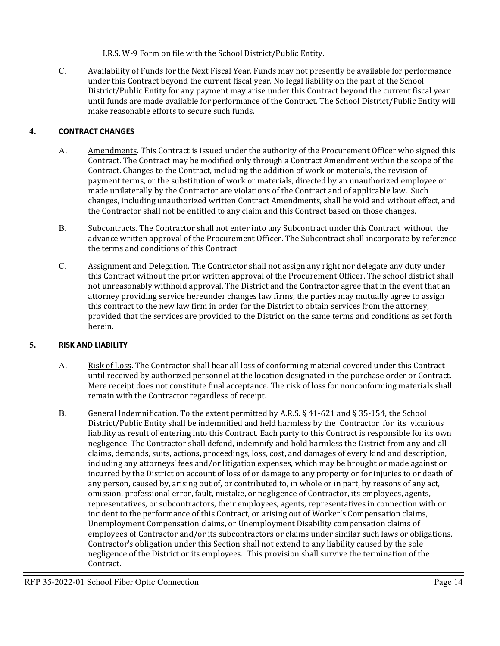I.R.S. W-9 Form on file with the School District/Public Entity.

C. Availability of Funds for the Next Fiscal Year. Funds may not presently be available for performance under this Contract beyond the current fiscal year. No legal liability on the part of the School District/Public Entity for any payment may arise under this Contract beyond the current fiscal year until funds are made available for performance of the Contract. The School District/Public Entity will make reasonable efforts to secure such funds.

#### **4. CONTRACT CHANGES**

- A. Amendments. This Contract is issued under the authority of the Procurement Officer who signed this Contract. The Contract may be modified only through a Contract Amendment within the scope of the Contract. Changes to the Contract, including the addition of work or materials, the revision of payment terms, or the substitution of work or materials, directed by an unauthorized employee or made unilaterally by the Contractor are violations of the Contract and of applicable law. Such changes, including unauthorized written Contract Amendments, shall be void and without effect, and the Contractor shall not be entitled to any claim and this Contract based on those changes.
- B. Subcontracts. The Contractor shall not enter into any Subcontract under this Contract without the advance written approval of the Procurement Officer. The Subcontract shall incorporate by reference the terms and conditions of this Contract.
- C. Assignment and Delegation. The Contractor shall not assign any right nor delegate any duty under this Contract without the prior written approval of the Procurement Officer. The school district shall not unreasonably withhold approval. The District and the Contractor agree that in the event that an attorney providing service hereunder changes law firms, the parties may mutually agree to assign this contract to the new law firm in order for the District to obtain services from the attorney, provided that the services are provided to the District on the same terms and conditions as set forth herein.

#### **5. RISK AND LIABILITY**

- A. Risk of Loss. The Contractor shall bear all loss of conforming material covered under this Contract until received by authorized personnel at the location designated in the purchase order or Contract. Mere receipt does not constitute final acceptance. The risk of loss for nonconforming materials shall remain with the Contractor regardless of receipt.
- B. General Indemnification. To the extent permitted by A.R.S. § 41-621 and § 35-154, the School District/Public Entity shall be indemnified and held harmless by the Contractor for its vicarious liability as result of entering into this Contract. Each party to this Contract is responsible for its own negligence. The Contractor shall defend, indemnify and hold harmless the District from any and all claims, demands, suits, actions, proceedings, loss, cost, and damages of every kind and description, including any attorneys' fees and/or litigation expenses, which may be brought or made against or incurred by the District on account of loss of or damage to any property or for injuries to or death of any person, caused by, arising out of, or contributed to, in whole or in part, by reasons of any act, omission, professional error, fault, mistake, or negligence of Contractor, its employees, agents, representatives, or subcontractors, their employees, agents, representatives in connection with or incident to the performance of this Contract, or arising out of Worker's Compensation claims, Unemployment Compensation claims, or Unemployment Disability compensation claims of employees of Contractor and/or its subcontractors or claims under similar such laws or obligations. Contractor's obligation under this Section shall not extend to any liability caused by the sole negligence of the District or its employees. This provision shall survive the termination of the Contract.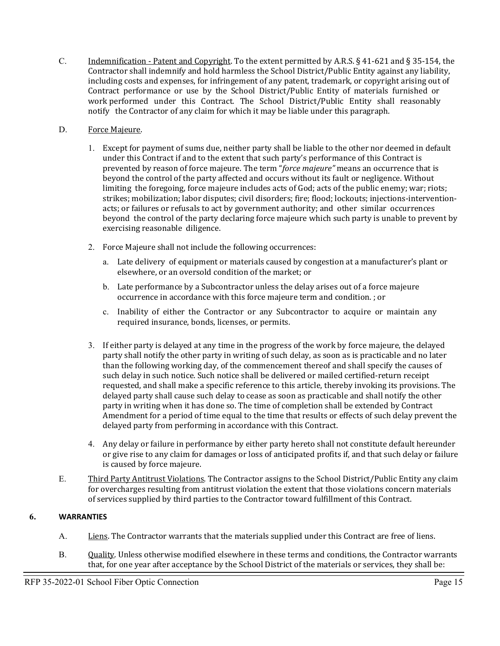- C. Indemnification Patent and Copyright. To the extent permitted by A.R.S. § 41-621 and § 35-154, the Contractor shall indemnify and hold harmless the School District/Public Entity against any liability, including costs and expenses, for infringement of any patent, trademark, or copyright arising out of Contract performance or use by the School District/Public Entity of materials furnished or work performed under this Contract. The School District/Public Entity shall reasonably notify the Contractor of any claim for which it may be liable under this paragraph.
- D. Force Majeure.
	- 1. Except for payment of sums due, neither party shall be liable to the other nor deemed in default under this Contract if and to the extent that such party's performance of this Contract is prevented by reason of force majeure. The term "*force majeure"* means an occurrence that is beyond the control of the party affected and occurs without its fault or negligence. Without limiting the foregoing, force majeure includes acts of God; acts of the public enemy; war; riots; strikes; mobilization; labor disputes; civil disorders; fire; flood; lockouts; injections-interventionacts; or failures or refusals to act by government authority; and other similar occurrences beyond the control of the party declaring force majeure which such party is unable to prevent by exercising reasonable diligence.
	- 2. Force Majeure shall not include the following occurrences:
		- a. Late delivery of equipment or materials caused by congestion at a manufacturer's plant or elsewhere, or an oversold condition of the market; or
		- b. Late performance by a Subcontractor unless the delay arises out of a force majeure occurrence in accordance with this force majeure term and condition. ; or
		- c. Inability of either the Contractor or any Subcontractor to acquire or maintain any required insurance, bonds, licenses, or permits.
	- 3. If either party is delayed at any time in the progress of the work by force majeure, the delayed party shall notify the other party in writing of such delay, as soon as is practicable and no later than the following working day, of the commencement thereof and shall specify the causes of such delay in such notice. Such notice shall be delivered or mailed certified-return receipt requested, and shall make a specific reference to this article, thereby invoking its provisions. The delayed party shall cause such delay to cease as soon as practicable and shall notify the other party in writing when it has done so. The time of completion shall be extended by Contract Amendment for a period of time equal to the time that results or effects of such delay prevent the delayed party from performing in accordance with this Contract.
	- 4. Any delay or failure in performance by either party hereto shall not constitute default hereunder or give rise to any claim for damages or loss of anticipated profits if, and that such delay or failure is caused by force majeure.
- E. Third Party Antitrust Violations. The Contractor assigns to the School District/Public Entity any claim for overcharges resulting from antitrust violation the extent that those violations concern materials of services supplied by third parties to the Contractor toward fulfillment of this Contract.

### **6. WARRANTIES**

- A. Liens. The Contractor warrants that the materials supplied under this Contract are free of liens.
- B. Quality. Unless otherwise modified elsewhere in these terms and conditions, the Contractor warrants that, for one year after acceptance by the School District of the materials or services, they shall be: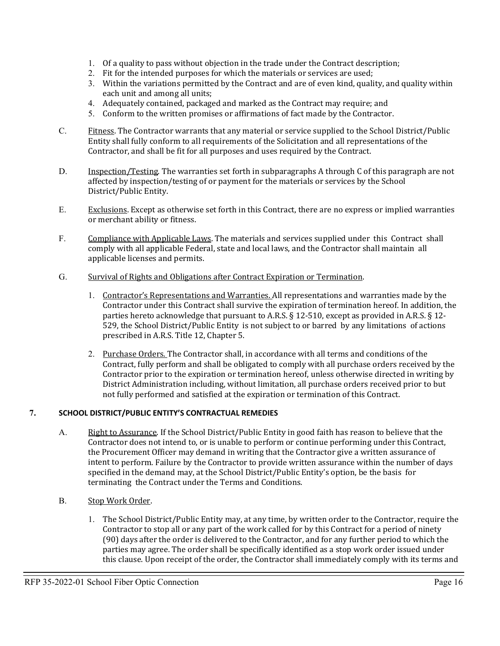- 1. Of a quality to pass without objection in the trade under the Contract description;
- 2. Fit for the intended purposes for which the materials or services are used;
- 3. Within the variations permitted by the Contract and are of even kind, quality, and quality within each unit and among all units;
- 4. Adequately contained, packaged and marked as the Contract may require; and
- 5. Conform to the written promises or affirmations of fact made by the Contractor.
- C. Fitness. The Contractor warrants that any material or service supplied to the School District/Public Entity shall fully conform to all requirements of the Solicitation and all representations of the Contractor, and shall be fit for all purposes and uses required by the Contract.
- D. Inspection/Testing. The warranties set forth in subparagraphs A through C of this paragraph are not affected by inspection/testing of or payment for the materials or services by the School District/Public Entity.
- E. Exclusions. Except as otherwise set forth in this Contract, there are no express or implied warranties or merchant ability or fitness.
- F. Compliance with Applicable Laws. The materials and services supplied under this Contract shall comply with all applicable Federal, state and local laws, and the Contractor shall maintain all applicable licenses and permits.
- G. Survival of Rights and Obligations after Contract Expiration or Termination.
	- 1. Contractor's Representations and Warranties. All representations and warranties made by the Contractor under this Contract shall survive the expiration of termination hereof. In addition, the parties hereto acknowledge that pursuant to A.R.S. § 12-510, except as provided in A.R.S. § 12- 529, the School District/Public Entity is not subject to or barred by any limitations of actions prescribed in A.R.S. Title 12, Chapter 5.
	- 2. Purchase Orders. The Contractor shall, in accordance with all terms and conditions of the Contract, fully perform and shall be obligated to comply with all purchase orders received by the Contractor prior to the expiration or termination hereof, unless otherwise directed in writing by District Administration including, without limitation, all purchase orders received prior to but not fully performed and satisfied at the expiration or termination of this Contract.

#### **7. SCHOOL DISTRICT/PUBLIC ENTITY'S CONTRACTUAL REMEDIES**

- A. Right to Assurance. If the School District/Public Entity in good faith has reason to believe that the Contractor does not intend to, or is unable to perform or continue performing under this Contract, the Procurement Officer may demand in writing that the Contractor give a written assurance of intent to perform. Failure by the Contractor to provide written assurance within the number of days specified in the demand may, at the School District/Public Entity's option, be the basis for terminating the Contract under the Terms and Conditions.
- B. Stop Work Order.
	- 1. The School District/Public Entity may, at any time, by written order to the Contractor, require the Contractor to stop all or any part of the work called for by this Contract for a period of ninety (90) days after the order is delivered to the Contractor, and for any further period to which the parties may agree. The order shall be specifically identified as a stop work order issued under this clause. Upon receipt of the order, the Contractor shall immediately comply with its terms and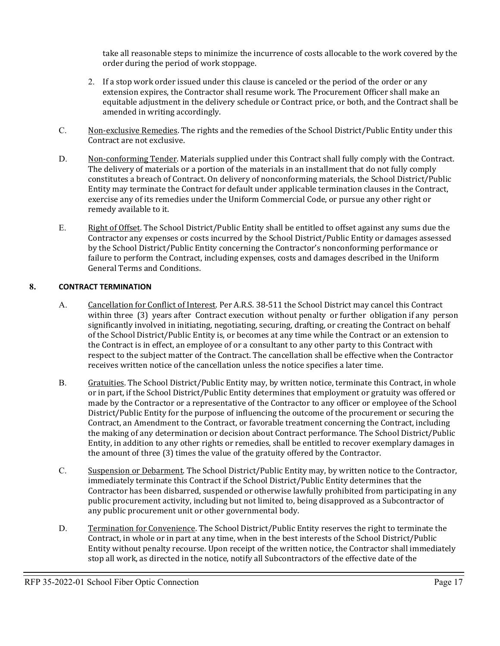take all reasonable steps to minimize the incurrence of costs allocable to the work covered by the order during the period of work stoppage.

- 2. If a stop work order issued under this clause is canceled or the period of the order or any extension expires, the Contractor shall resume work. The Procurement Officer shall make an equitable adjustment in the delivery schedule or Contract price, or both, and the Contract shall be amended in writing accordingly.
- C. Non-exclusive Remedies. The rights and the remedies of the School District/Public Entity under this Contract are not exclusive.
- D. Non-conforming Tender. Materials supplied under this Contract shall fully comply with the Contract. The delivery of materials or a portion of the materials in an installment that do not fully comply constitutes a breach of Contract. On delivery of nonconforming materials, the School District/Public Entity may terminate the Contract for default under applicable termination clauses in the Contract, exercise any of its remedies under the Uniform Commercial Code, or pursue any other right or remedy available to it.
- E. Right of Offset. The School District/Public Entity shall be entitled to offset against any sums due the Contractor any expenses or costs incurred by the School District/Public Entity or damages assessed by the School District/Public Entity concerning the Contractor's nonconforming performance or failure to perform the Contract, including expenses, costs and damages described in the Uniform General Terms and Conditions.

#### **8. CONTRACT TERMINATION**

- A. Cancellation for Conflict of Interest. Per A.R.S. 38-511 the School District may cancel this Contract within three (3) years after Contract execution without penalty or further obligation if any person significantly involved in initiating, negotiating, securing, drafting, or creating the Contract on behalf of the School District/Public Entity is, or becomes at any time while the Contract or an extension to the Contract is in effect, an employee of or a consultant to any other party to this Contract with respect to the subject matter of the Contract. The cancellation shall be effective when the Contractor receives written notice of the cancellation unless the notice specifies a later time.
- B. Gratuities. The School District/Public Entity may, by written notice, terminate this Contract, in whole or in part, if the School District/Public Entity determines that employment or gratuity was offered or made by the Contractor or a representative of the Contractor to any officer or employee of the School District/Public Entity for the purpose of influencing the outcome of the procurement or securing the Contract, an Amendment to the Contract, or favorable treatment concerning the Contract, including the making of any determination or decision about Contract performance. The School District/Public Entity, in addition to any other rights or remedies, shall be entitled to recover exemplary damages in the amount of three (3) times the value of the gratuity offered by the Contractor.
- C. Suspension or Debarment. The School District/Public Entity may, by written notice to the Contractor, immediately terminate this Contract if the School District/Public Entity determines that the Contractor has been disbarred, suspended or otherwise lawfully prohibited from participating in any public procurement activity, including but not limited to, being disapproved as a Subcontractor of any public procurement unit or other governmental body.
- D. Termination for Convenience. The School District/Public Entity reserves the right to terminate the Contract, in whole or in part at any time, when in the best interests of the School District/Public Entity without penalty recourse. Upon receipt of the written notice, the Contractor shall immediately stop all work, as directed in the notice, notify all Subcontractors of the effective date of the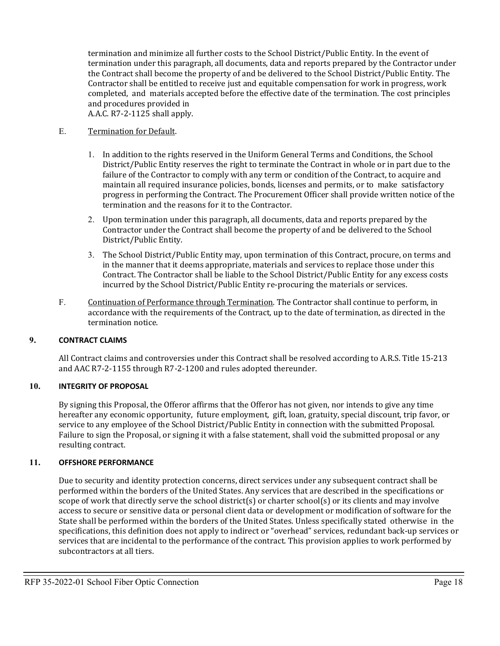termination and minimize all further costs to the School District/Public Entity. In the event of termination under this paragraph, all documents, data and reports prepared by the Contractor under the Contract shall become the property of and be delivered to the School District/Public Entity. The Contractor shall be entitled to receive just and equitable compensation for work in progress, work completed, and materials accepted before the effective date of the termination. The cost principles and procedures provided in A.A.C. R7-2-1125 shall apply.

#### E. Termination for Default.

- 1. In addition to the rights reserved in the Uniform General Terms and Conditions, the School District/Public Entity reserves the right to terminate the Contract in whole or in part due to the failure of the Contractor to comply with any term or condition of the Contract, to acquire and maintain all required insurance policies, bonds, licenses and permits, or to make satisfactory progress in performing the Contract. The Procurement Officer shall provide written notice of the termination and the reasons for it to the Contractor.
- 2. Upon termination under this paragraph, all documents, data and reports prepared by the Contractor under the Contract shall become the property of and be delivered to the School District/Public Entity.
- 3. The School District/Public Entity may, upon termination of this Contract, procure, on terms and in the manner that it deems appropriate, materials and services to replace those under this Contract. The Contractor shall be liable to the School District/Public Entity for any excess costs incurred by the School District/Public Entity re-procuring the materials or services.
- F. Continuation of Performance through Termination. The Contractor shall continue to perform, in accordance with the requirements of the Contract, up to the date of termination, as directed in the termination notice.

#### **9. CONTRACT CLAIMS**

All Contract claims and controversies under this Contract shall be resolved according to A.R.S. Title 15-213 and AAC R7-2-1155 through R7-2-1200 and rules adopted thereunder.

#### **10. INTEGRITY OF PROPOSAL**

By signing this Proposal, the Offeror affirms that the Offeror has not given, nor intends to give any time hereafter any economic opportunity, future employment, gift, loan, gratuity, special discount, trip favor, or service to any employee of the School District/Public Entity in connection with the submitted Proposal. Failure to sign the Proposal, or signing it with a false statement, shall void the submitted proposal or any resulting contract.

#### **11. OFFSHORE PERFORMANCE**

Due to security and identity protection concerns, direct services under any subsequent contract shall be performed within the borders of the United States. Any services that are described in the specifications or scope of work that directly serve the school district(s) or charter school(s) or its clients and may involve access to secure or sensitive data or personal client data or development or modification of software for the State shall be performed within the borders of the United States. Unless specifically stated otherwise in the specifications, this definition does not apply to indirect or "overhead" services, redundant back-up services or services that are incidental to the performance of the contract. This provision applies to work performed by subcontractors at all tiers.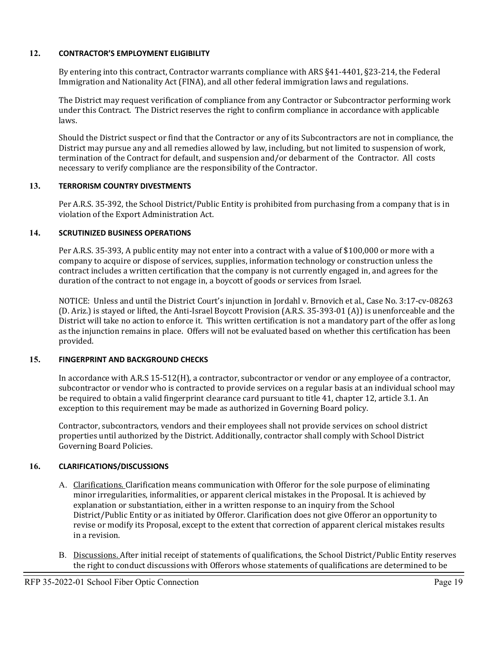#### **12. CONTRACTOR'S EMPLOYMENT ELIGIBILITY**

By entering into this contract, Contractor warrants compliance with ARS §41-4401, §23-214, the Federal Immigration and Nationality Act (FINA), and all other federal immigration laws and regulations.

The District may request verification of compliance from any Contractor or Subcontractor performing work under this Contract. The District reserves the right to confirm compliance in accordance with applicable laws.

Should the District suspect or find that the Contractor or any of its Subcontractors are not in compliance, the District may pursue any and all remedies allowed by law, including, but not limited to suspension of work, termination of the Contract for default, and suspension and/or debarment of the Contractor. All costs necessary to verify compliance are the responsibility of the Contractor.

#### **13. TERRORISM COUNTRY DIVESTMENTS**

Per A.R.S. 35-392, the School District/Public Entity is prohibited from purchasing from a company that is in violation of the Export Administration Act.

#### **14. SCRUTINIZED BUSINESS OPERATIONS**

Per A.R.S. 35-393, A public entity may not enter into a contract with a value of \$100,000 or more with a company to acquire or dispose of services, supplies, information technology or construction unless the contract includes a written certification that the company is not currently engaged in, and agrees for the duration of the contract to not engage in, a boycott of goods or services from Israel.

NOTICE: Unless and until the District Court's injunction in Jordahl v. Brnovich et al., Case No. 3:17-cv-08263 (D. Ariz.) is stayed or lifted, the Anti-Israel Boycott Provision (A.R.S. 35-393-01 (A)) is unenforceable and the District will take no action to enforce it. This written certification is not a mandatory part of the offer as long as the injunction remains in place. Offers will not be evaluated based on whether this certification has been provided.

#### **15. FINGERPRINT AND BACKGROUND CHECKS**

In accordance with A.R.S 15-512(H), a contractor, subcontractor or vendor or any employee of a contractor, subcontractor or vendor who is contracted to provide services on a regular basis at an individual school may be required to obtain a valid fingerprint clearance card pursuant to title 41, chapter 12, article 3.1. An exception to this requirement may be made as authorized in Governing Board policy.

Contractor, subcontractors, vendors and their employees shall not provide services on school district properties until authorized by the District. Additionally, contractor shall comply with School District Governing Board Policies.

#### **16. CLARIFICATIONS/DISCUSSIONS**

- A. Clarifications. Clarification means communication with Offeror for the sole purpose of eliminating minor irregularities, informalities, or apparent clerical mistakes in the Proposal. It is achieved by explanation or substantiation, either in a written response to an inquiry from the School District/Public Entity or as initiated by Offeror. Clarification does not give Offeror an opportunity to revise or modify its Proposal, except to the extent that correction of apparent clerical mistakes results in a revision.
- B. Discussions. After initial receipt of statements of qualifications, the School District/Public Entity reserves the right to conduct discussions with Offerors whose statements of qualifications are determined to be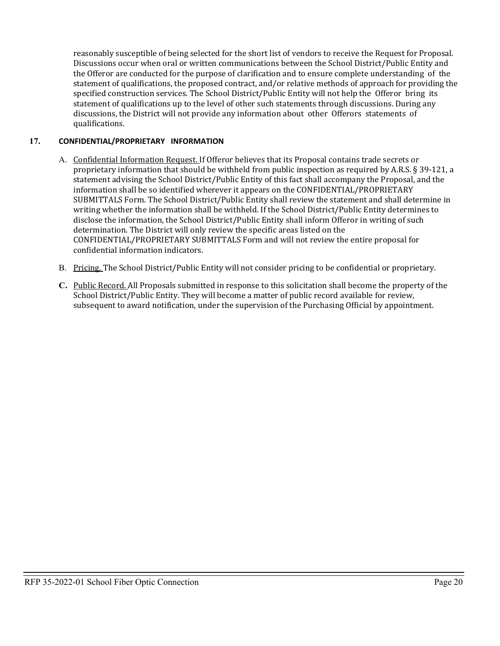reasonably susceptible of being selected for the short list of vendors to receive the Request for Proposal. Discussions occur when oral or written communications between the School District/Public Entity and the Offeror are conducted for the purpose of clarification and to ensure complete understanding of the statement of qualifications, the proposed contract, and/or relative methods of approach for providing the specified construction services. The School District/Public Entity will not help the Offeror bring its statement of qualifications up to the level of other such statements through discussions. During any discussions, the District will not provide any information about other Offerors statements of qualifications.

#### **17. CONFIDENTIAL/PROPRIETARY INFORMATION**

- A. Confidential Information Request. If Offeror believes that its Proposal contains trade secrets or proprietary information that should be withheld from public inspection as required by A.R.S. § 39-121, a statement advising the School District/Public Entity of this fact shall accompany the Proposal, and the information shall be so identified wherever it appears on the CONFIDENTIAL/PROPRIETARY SUBMITTALS Form. The School District/Public Entity shall review the statement and shall determine in writing whether the information shall be withheld. If the School District/Public Entity determines to disclose the information, the School District/Public Entity shall inform Offeror in writing of such determination. The District will only review the specific areas listed on the CONFIDENTIAL/PROPRIETARY SUBMITTALS Form and will not review the entire proposal for confidential information indicators.
- B. Pricing. The School District/Public Entity will not consider pricing to be confidential or proprietary.
- **C.** Public Record. All Proposals submitted in response to this solicitation shall become the property of the School District/Public Entity. They will become a matter of public record available for review, subsequent to award notification, under the supervision of the Purchasing Official by appointment.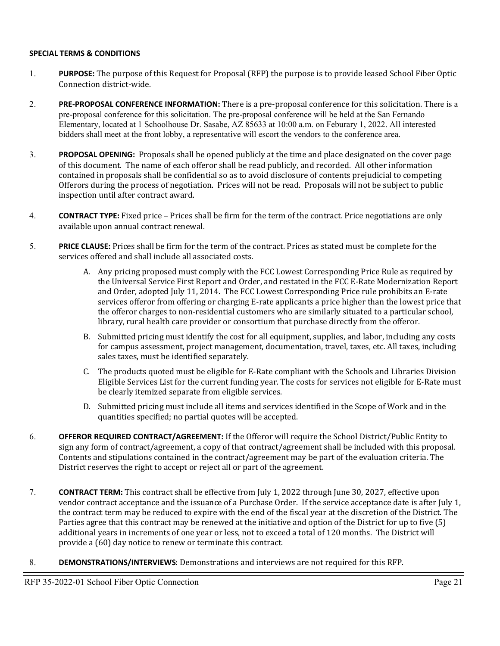#### **SPECIAL TERMS & CONDITIONS**

- 1. **PURPOSE:** The purpose of this Request for Proposal (RFP) the purpose is to provide leased School Fiber Optic Connection district-wide.
- 2. **PRE-PROPOSAL CONFERENCE INFORMATION:** There is a pre-proposal conference for this solicitation. There is a pre-proposal conference for this solicitation. The pre-proposal conference will be held at the San Fernando Elementary, located at 1 Schoolhouse Dr. Sasabe, AZ 85633 at 10:00 a.m. on Feburary 1, 2022. All interested bidders shall meet at the front lobby, a representative will escort the vendors to the conference area.
- 3. **PROPOSAL OPENING:** Proposals shall be opened publicly at the time and place designated on the cover page of this document. The name of each offeror shall be read publicly, and recorded. All other information contained in proposals shall be confidential so as to avoid disclosure of contents prejudicial to competing Offerors during the process of negotiation. Prices will not be read. Proposals will not be subject to public inspection until after contract award.
- 4. **CONTRACT TYPE:** Fixed price Prices shall be firm for the term of the contract. Price negotiations are only available upon annual contract renewal.
- 5. **PRICE CLAUSE:** Prices shall be firm for the term of the contract. Prices as stated must be complete for the services offered and shall include all associated costs.
	- A. Any pricing proposed must comply with the FCC Lowest Corresponding Price Rule as required by the Universal Service First Report and Order, and restated in the FCC E-Rate Modernization Report and Order, adopted July 11, 2014. The FCC Lowest Corresponding Price rule prohibits an E-rate services offeror from offering or charging E-rate applicants a price higher than the lowest price that the offeror charges to non-residential customers who are similarly situated to a particular school, library, rural health care provider or consortium that purchase directly from the offeror.
	- B. Submitted pricing must identify the cost for all equipment, supplies, and labor, including any costs for campus assessment, project management, documentation, travel, taxes, etc. All taxes, including sales taxes, must be identified separately.
	- C. The products quoted must be eligible for E-Rate compliant with the Schools and Libraries Division Eligible Services List for the current funding year. The costs for services not eligible for E-Rate must be clearly itemized separate from eligible services.
	- D. Submitted pricing must include all items and services identified in the Scope of Work and in the quantities specified; no partial quotes will be accepted.
- 6. **OFFEROR REQUIRED CONTRACT/AGREEMENT:** If the Offeror will require the School District/Public Entity to sign any form of contract/agreement, a copy of that contract/agreement shall be included with this proposal. Contents and stipulations contained in the contract/agreement may be part of the evaluation criteria. The District reserves the right to accept or reject all or part of the agreement.
- 7. **CONTRACT TERM:** This contract shall be effective from July 1, 2022 through June 30, 2027, effective upon vendor contract acceptance and the issuance of a Purchase Order. If the service acceptance date is after July 1, the contract term may be reduced to expire with the end of the fiscal year at the discretion of the District. The Parties agree that this contract may be renewed at the initiative and option of the District for up to five (5) additional years in increments of one year or less, not to exceed a total of 120 months. The District will provide a (60) day notice to renew or terminate this contract.
- 8. **DEMONSTRATIONS/INTERVIEWS**: Demonstrations and interviews are not required for this RFP.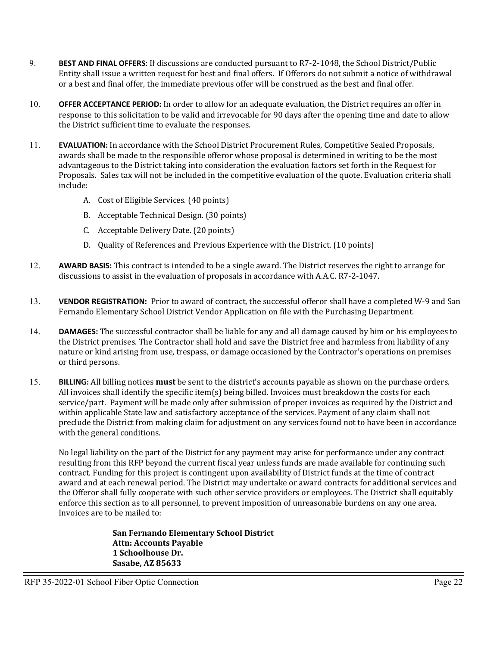- 9. **BEST AND FINAL OFFERS**: If discussions are conducted pursuant to R7-2-1048, the School District/Public Entity shall issue a written request for best and final offers. If Offerors do not submit a notice of withdrawal or a best and final offer, the immediate previous offer will be construed as the best and final offer.
- 10. **OFFER ACCEPTANCE PERIOD:** In order to allow for an adequate evaluation, the District requires an offer in response to this solicitation to be valid and irrevocable for 90 days after the opening time and date to allow the District sufficient time to evaluate the responses.
- 11. **EVALUATION:** In accordance with the School District Procurement Rules, Competitive Sealed Proposals, awards shall be made to the responsible offeror whose proposal is determined in writing to be the most advantageous to the District taking into consideration the evaluation factors set forth in the Request for Proposals. Sales tax will not be included in the competitive evaluation of the quote. Evaluation criteria shall include:
	- A. Cost of Eligible Services. (40 points)
	- B. Acceptable Technical Design. (30 points)
	- C. Acceptable Delivery Date. (20 points)
	- D. Quality of References and Previous Experience with the District. (10 points)
- 12. **AWARD BASIS:** This contract is intended to be a single award. The District reserves the right to arrange for discussions to assist in the evaluation of proposals in accordance with A.A.C. R7-2-1047.
- 13. **VENDOR REGISTRATION:** Prior to award of contract, the successful offeror shall have a completed W-9 and San Fernando Elementary School District Vendor Application on file with the Purchasing Department.
- 14. **DAMAGES:** The successful contractor shall be liable for any and all damage caused by him or his employees to the District premises. The Contractor shall hold and save the District free and harmless from liability of any nature or kind arising from use, trespass, or damage occasioned by the Contractor's operations on premises or third persons.
- 15. **BILLING:** All billing notices **must** be sent to the district's accounts payable as shown on the purchase orders. All invoices shall identify the specific item(s) being billed. Invoices must breakdown the costs for each service/part. Payment will be made only after submission of proper invoices as required by the District and within applicable State law and satisfactory acceptance of the services. Payment of any claim shall not preclude the District from making claim for adjustment on any services found not to have been in accordance with the general conditions.

No legal liability on the part of the District for any payment may arise for performance under any contract resulting from this RFP beyond the current fiscal year unless funds are made available for continuing such contract. Funding for this project is contingent upon availability of District funds at the time of contract award and at each renewal period. The District may undertake or award contracts for additional services and the Offeror shall fully cooperate with such other service providers or employees. The District shall equitably enforce this section as to all personnel, to prevent imposition of unreasonable burdens on any one area. Invoices are to be mailed to:

> **San Fernando Elementary School District Attn: Accounts Payable 1 Schoolhouse Dr. Sasabe, AZ 85633**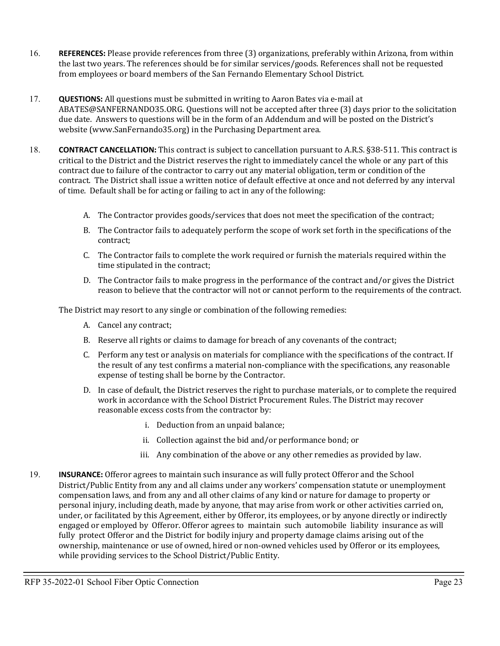- 16. **REFERENCES:** Please provide references from three (3) organizations, preferably within Arizona, from within the last two years. The references should be for similar services/goods. References shall not be requested from employees or board members of the San Fernando Elementary School District.
- 17. **QUESTIONS:** All questions must be submitted in writing to Aaron Bates via e-mail at ABATES@SANFERNANDO35.ORG. Questions will not be accepted after three (3) days prior to the solicitation due date. Answers to questions will be in the form of an Addendum and will be posted on the District's website (www.SanFernando35.org) in the Purchasing Department area.
- 18. **CONTRACT CANCELLATION:** This contract is subject to cancellation pursuant to A.R.S. §38-511. This contract is critical to the District and the District reserves the right to immediately cancel the whole or any part of this contract due to failure of the contractor to carry out any material obligation, term or condition of the contract. The District shall issue a written notice of default effective at once and not deferred by any interval of time. Default shall be for acting or failing to act in any of the following:
	- A. The Contractor provides goods/services that does not meet the specification of the contract;
	- B. The Contractor fails to adequately perform the scope of work set forth in the specifications of the contract;
	- C. The Contractor fails to complete the work required or furnish the materials required within the time stipulated in the contract;
	- D. The Contractor fails to make progress in the performance of the contract and/or gives the District reason to believe that the contractor will not or cannot perform to the requirements of the contract.

The District may resort to any single or combination of the following remedies:

- A. Cancel any contract;
- B. Reserve all rights or claims to damage for breach of any covenants of the contract;
- C. Perform any test or analysis on materials for compliance with the specifications of the contract. If the result of any test confirms a material non-compliance with the specifications, any reasonable expense of testing shall be borne by the Contractor.
- D. In case of default, the District reserves the right to purchase materials, or to complete the required work in accordance with the School District Procurement Rules. The District may recover reasonable excess costs from the contractor by:
	- i. Deduction from an unpaid balance;
	- ii. Collection against the bid and/or performance bond; or
	- iii. Any combination of the above or any other remedies as provided by law.
- 19. **INSURANCE:** Offeror agrees to maintain such insurance as will fully protect Offeror and the School District/Public Entity from any and all claims under any workers' compensation statute or unemployment compensation laws, and from any and all other claims of any kind or nature for damage to property or personal injury, including death, made by anyone, that may arise from work or other activities carried on, under, or facilitated by this Agreement, either by Offeror, its employees, or by anyone directly or indirectly engaged or employed by Offeror. Offeror agrees to maintain such automobile liability insurance as will fully protect Offeror and the District for bodily injury and property damage claims arising out of the ownership, maintenance or use of owned, hired or non-owned vehicles used by Offeror or its employees, while providing services to the School District/Public Entity.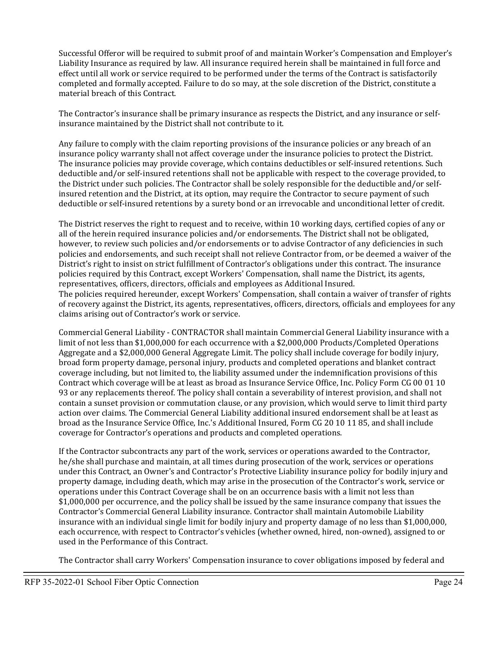Successful Offeror will be required to submit proof of and maintain Worker's Compensation and Employer's Liability Insurance as required by law. All insurance required herein shall be maintained in full force and effect until all work or service required to be performed under the terms of the Contract is satisfactorily completed and formally accepted. Failure to do so may, at the sole discretion of the District, constitute a material breach of this Contract.

The Contractor's insurance shall be primary insurance as respects the District, and any insurance or selfinsurance maintained by the District shall not contribute to it.

Any failure to comply with the claim reporting provisions of the insurance policies or any breach of an insurance policy warranty shall not affect coverage under the insurance policies to protect the District. The insurance policies may provide coverage, which contains deductibles or self-insured retentions. Such deductible and/or self-insured retentions shall not be applicable with respect to the coverage provided, to the District under such policies. The Contractor shall be solely responsible for the deductible and/or selfinsured retention and the District, at its option, may require the Contractor to secure payment of such deductible or self-insured retentions by a surety bond or an irrevocable and unconditional letter of credit.

The District reserves the right to request and to receive, within 10 working days, certified copies of any or all of the herein required insurance policies and/or endorsements. The District shall not be obligated, however, to review such policies and/or endorsements or to advise Contractor of any deficiencies in such policies and endorsements, and such receipt shall not relieve Contractor from, or be deemed a waiver of the District's right to insist on strict fulfillment of Contractor's obligations under this contract. The insurance policies required by this Contract, except Workers' Compensation, shall name the District, its agents, representatives, officers, directors, officials and employees as Additional Insured. The policies required hereunder, except Workers' Compensation, shall contain a waiver of transfer of rights of recovery against the District, its agents, representatives, officers, directors, officials and employees for any claims arising out of Contractor's work or service.

Commercial General Liability - CONTRACTOR shall maintain Commercial General Liability insurance with a limit of not less than \$1,000,000 for each occurrence with a \$2,000,000 Products/Completed Operations Aggregate and a \$2,000,000 General Aggregate Limit. The policy shall include coverage for bodily injury, broad form property damage, personal injury, products and completed operations and blanket contract coverage including, but not limited to, the liability assumed under the indemnification provisions of this Contract which coverage will be at least as broad as Insurance Service Office, Inc. Policy Form CG 00 01 10 93 or any replacements thereof. The policy shall contain a severability of interest provision, and shall not contain a sunset provision or commutation clause, or any provision, which would serve to limit third party action over claims. The Commercial General Liability additional insured endorsement shall be at least as broad as the Insurance Service Office, Inc.'s Additional Insured, Form CG 20 10 11 85, and shall include coverage for Contractor's operations and products and completed operations.

If the Contractor subcontracts any part of the work, services or operations awarded to the Contractor, he/she shall purchase and maintain, at all times during prosecution of the work, services or operations under this Contract, an Owner's and Contractor's Protective Liability insurance policy for bodily injury and property damage, including death, which may arise in the prosecution of the Contractor's work, service or operations under this Contract Coverage shall be on an occurrence basis with a limit not less than \$1,000,000 per occurrence, and the policy shall be issued by the same insurance company that issues the Contractor's Commercial General Liability insurance. Contractor shall maintain Automobile Liability insurance with an individual single limit for bodily injury and property damage of no less than \$1,000,000, each occurrence, with respect to Contractor's vehicles (whether owned, hired, non-owned), assigned to or used in the Performance of this Contract.

The Contractor shall carry Workers' Compensation insurance to cover obligations imposed by federal and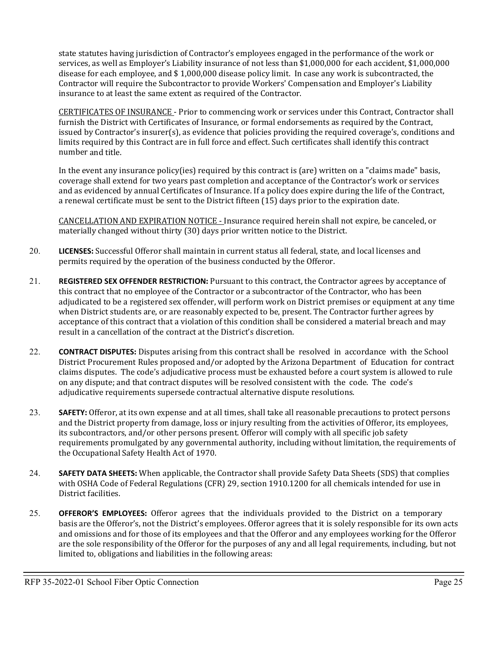state statutes having jurisdiction of Contractor's employees engaged in the performance of the work or services, as well as Employer's Liability insurance of not less than \$1,000,000 for each accident, \$1,000,000 disease for each employee, and \$ 1,000,000 disease policy limit. In case any work is subcontracted, the Contractor will require the Subcontractor to provide Workers' Compensation and Employer's Liability insurance to at least the same extent as required of the Contractor.

CERTIFICATES OF INSURANCE - Prior to commencing work or services under this Contract, Contractor shall furnish the District with Certificates of Insurance, or formal endorsements as required by the Contract, issued by Contractor's insurer(s), as evidence that policies providing the required coverage's, conditions and limits required by this Contract are in full force and effect. Such certificates shall identify this contract number and title.

In the event any insurance policy(ies) required by this contract is (are) written on a "claims made" basis, coverage shall extend for two years past completion and acceptance of the Contractor's work or services and as evidenced by annual Certificates of Insurance. If a policy does expire during the life of the Contract, a renewal certificate must be sent to the District fifteen (15) days prior to the expiration date.

CANCELLATION AND EXPIRATION NOTICE - Insurance required herein shall not expire, be canceled, or materially changed without thirty (30) days prior written notice to the District.

- 20. **LICENSES:** Successful Offeror shall maintain in current status all federal, state, and local licenses and permits required by the operation of the business conducted by the Offeror.
- 21. **REGISTERED SEX OFFENDER RESTRICTION:** Pursuant to this contract, the Contractor agrees by acceptance of this contract that no employee of the Contractor or a subcontractor of the Contractor, who has been adjudicated to be a registered sex offender, will perform work on District premises or equipment at any time when District students are, or are reasonably expected to be, present. The Contractor further agrees by acceptance of this contract that a violation of this condition shall be considered a material breach and may result in a cancellation of the contract at the District's discretion.
- 22. **CONTRACT DISPUTES:** Disputes arising from this contract shall be resolved in accordance with the School District Procurement Rules proposed and/or adopted by the Arizona Department of Education for contract claims disputes. The code's adjudicative process must be exhausted before a court system is allowed to rule on any dispute; and that contract disputes will be resolved consistent with the code. The code's adjudicative requirements supersede contractual alternative dispute resolutions.
- 23. **SAFETY:** Offeror, at its own expense and at all times, shall take all reasonable precautions to protect persons and the District property from damage, loss or injury resulting from the activities of Offeror, its employees, its subcontractors, and/or other persons present. Offeror will comply with all specific job safety requirements promulgated by any governmental authority, including without limitation, the requirements of the Occupational Safety Health Act of 1970.
- 24. **SAFETY DATA SHEETS:** When applicable, the Contractor shall provide Safety Data Sheets (SDS) that complies with OSHA Code of Federal Regulations (CFR) 29, section 1910.1200 for all chemicals intended for use in District facilities.
- 25. **OFFEROR'S EMPLOYEES:** Offeror agrees that the individuals provided to the District on a temporary basis are the Offeror's, not the District's employees. Offeror agrees that it is solely responsible for its own acts and omissions and for those of its employees and that the Offeror and any employees working for the Offeror are the sole responsibility of the Offeror for the purposes of any and all legal requirements, including, but not limited to, obligations and liabilities in the following areas: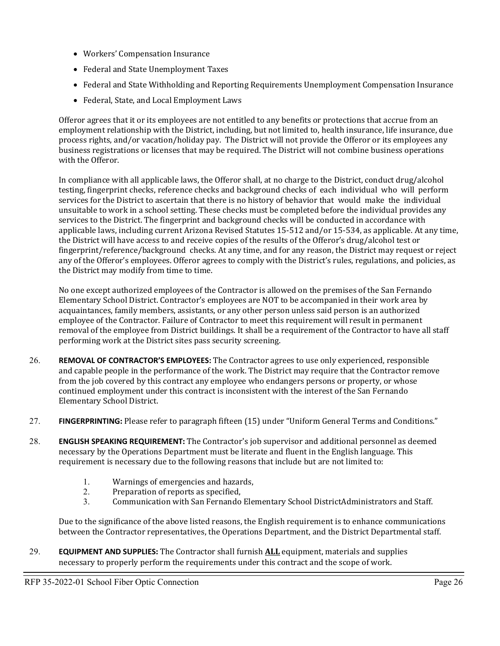- Workers' Compensation Insurance
- Federal and State Unemployment Taxes
- Federal and State Withholding and Reporting Requirements Unemployment Compensation Insurance
- Federal, State, and Local Employment Laws

Offeror agrees that it or its employees are not entitled to any benefits or protections that accrue from an employment relationship with the District, including, but not limited to, health insurance, life insurance, due process rights, and/or vacation/holiday pay. The District will not provide the Offeror or its employees any business registrations or licenses that may be required. The District will not combine business operations with the Offeror.

In compliance with all applicable laws, the Offeror shall, at no charge to the District, conduct drug/alcohol testing, fingerprint checks, reference checks and background checks of each individual who will perform services for the District to ascertain that there is no history of behavior that would make the individual unsuitable to work in a school setting. These checks must be completed before the individual provides any services to the District. The fingerprint and background checks will be conducted in accordance with applicable laws, including current Arizona Revised Statutes 15-512 and/or 15-534, as applicable. At any time, the District will have access to and receive copies of the results of the Offeror's drug/alcohol test or fingerprint/reference/background checks. At any time, and for any reason, the District may request or reject any of the Offeror's employees. Offeror agrees to comply with the District's rules, regulations, and policies, as the District may modify from time to time.

No one except authorized employees of the Contractor is allowed on the premises of the San Fernando Elementary School District. Contractor's employees are NOT to be accompanied in their work area by acquaintances, family members, assistants, or any other person unless said person is an authorized employee of the Contractor. Failure of Contractor to meet this requirement will result in permanent removal of the employee from District buildings. It shall be a requirement of the Contractor to have all staff performing work at the District sites pass security screening.

- 26. **REMOVAL OF CONTRACTOR'S EMPLOYEES:** The Contractor agrees to use only experienced, responsible and capable people in the performance of the work. The District may require that the Contractor remove from the job covered by this contract any employee who endangers persons or property, or whose continued employment under this contract is inconsistent with the interest of the San Fernando Elementary School District.
- 27. **FINGERPRINTING:** Please refer to paragraph fifteen (15) under "Uniform General Terms and Conditions."
- 28. **ENGLISH SPEAKING REQUIREMENT:** The Contractor's job supervisor and additional personnel as deemed necessary by the Operations Department must be literate and fluent in the English language. This requirement is necessary due to the following reasons that include but are not limited to:
	- 1. Warnings of emergencies and hazards,<br>2. Preparation of reports as specified,
	- 2. Preparation of reports as specified,<br>3. Communication with San Fernando
	- 3. Communication with San Fernando Elementary School DistrictAdministrators and Staff.

Due to the significance of the above listed reasons, the English requirement is to enhance communications between the Contractor representatives, the Operations Department, and the District Departmental staff.

29. **EQUIPMENT AND SUPPLIES:** The Contractor shall furnish **ALL** equipment, materials and supplies necessary to properly perform the requirements under this contract and the scope of work.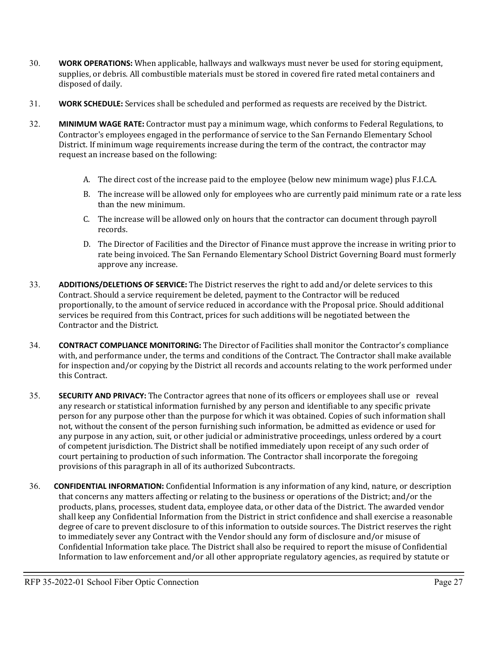- 30. **WORK OPERATIONS:** When applicable, hallways and walkways must never be used for storing equipment, supplies, or debris. All combustible materials must be stored in covered fire rated metal containers and disposed of daily.
- 31. **WORK SCHEDULE:** Services shall be scheduled and performed as requests are received by the District.
- 32. **MINIMUM WAGE RATE:** Contractor must pay a minimum wage, which conforms to Federal Regulations, to Contractor's employees engaged in the performance of service to the San Fernando Elementary School District. If minimum wage requirements increase during the term of the contract, the contractor may request an increase based on the following:
	- A. The direct cost of the increase paid to the employee (below new minimum wage) plus F.I.C.A.
	- B. The increase will be allowed only for employees who are currently paid minimum rate or a rate less than the new minimum.
	- C. The increase will be allowed only on hours that the contractor can document through payroll records.
	- D. The Director of Facilities and the Director of Finance must approve the increase in writing prior to rate being invoiced. The San Fernando Elementary School District Governing Board must formerly approve any increase.
- 33. **ADDITIONS/DELETIONS OF SERVICE:** The District reserves the right to add and/or delete services to this Contract. Should a service requirement be deleted, payment to the Contractor will be reduced proportionally, to the amount of service reduced in accordance with the Proposal price. Should additional services be required from this Contract, prices for such additions will be negotiated between the Contractor and the District.
- 34. **CONTRACT COMPLIANCE MONITORING:** The Director of Facilities shall monitor the Contractor's compliance with, and performance under, the terms and conditions of the Contract. The Contractor shall make available for inspection and/or copying by the District all records and accounts relating to the work performed under this Contract.
- 35. **SECURITY AND PRIVACY:** The Contractor agrees that none of its officers or employees shall use or reveal any research or statistical information furnished by any person and identifiable to any specific private person for any purpose other than the purpose for which it was obtained. Copies of such information shall not, without the consent of the person furnishing such information, be admitted as evidence or used for any purpose in any action, suit, or other judicial or administrative proceedings, unless ordered by a court of competent jurisdiction. The District shall be notified immediately upon receipt of any such order of court pertaining to production of such information. The Contractor shall incorporate the foregoing provisions of this paragraph in all of its authorized Subcontracts.
- 36. **CONFIDENTIAL INFORMATION:** Confidential Information is any information of any kind, nature, or description that concerns any matters affecting or relating to the business or operations of the District; and/or the products, plans, processes, student data, employee data, or other data of the District. The awarded vendor shall keep any Confidential Information from the District in strict confidence and shall exercise a reasonable degree of care to prevent disclosure to of this information to outside sources. The District reserves the right to immediately sever any Contract with the Vendor should any form of disclosure and/or misuse of Confidential Information take place. The District shall also be required to report the misuse of Confidential Information to law enforcement and/or all other appropriate regulatory agencies, as required by statute or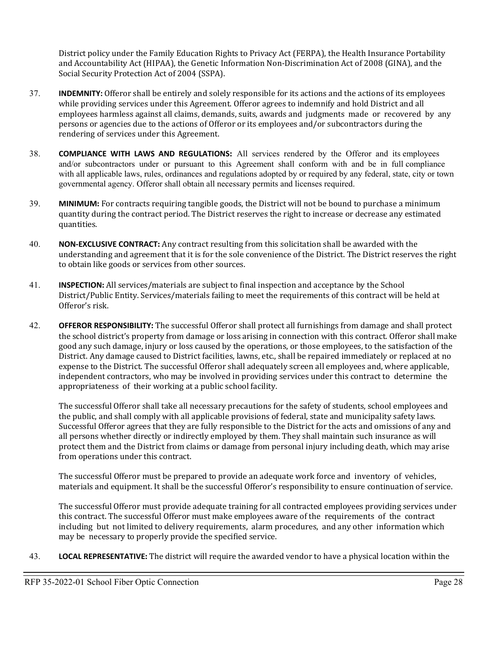District policy under the Family Education Rights to Privacy Act (FERPA), the Health Insurance Portability and Accountability Act (HIPAA), the Genetic Information Non-Discrimination Act of 2008 (GINA), and the Social Security Protection Act of 2004 (SSPA).

- 37. **INDEMNITY:** Offeror shall be entirely and solely responsible for its actions and the actions of its employees while providing services under this Agreement. Offeror agrees to indemnify and hold District and all employees harmless against all claims, demands, suits, awards and judgments made or recovered by any persons or agencies due to the actions of Offeror or its employees and/or subcontractors during the rendering of services under this Agreement.
- 38. **COMPLIANCE WITH LAWS AND REGULATIONS:** All services rendered by the Offeror and its employees and/or subcontractors under or pursuant to this Agreement shall conform with and be in full compliance with all applicable laws, rules, ordinances and regulations adopted by or required by any federal, state, city or town governmental agency. Offeror shall obtain all necessary permits and licenses required.
- 39. **MINIMUM:** For contracts requiring tangible goods, the District will not be bound to purchase a minimum quantity during the contract period. The District reserves the right to increase or decrease any estimated quantities.
- 40. **NON-EXCLUSIVE CONTRACT:** Any contract resulting from this solicitation shall be awarded with the understanding and agreement that it is for the sole convenience of the District. The District reserves the right to obtain like goods or services from other sources.
- 41. **INSPECTION:** All services/materials are subject to final inspection and acceptance by the School District/Public Entity. Services/materials failing to meet the requirements of this contract will be held at Offeror's risk.
- 42. **OFFEROR RESPONSIBILITY:** The successful Offeror shall protect all furnishings from damage and shall protect the school district's property from damage or loss arising in connection with this contract. Offeror shall make good any such damage, injury or loss caused by the operations, or those employees, to the satisfaction of the District. Any damage caused to District facilities, lawns, etc., shall be repaired immediately or replaced at no expense to the District. The successful Offeror shall adequately screen all employees and, where applicable, independent contractors, who may be involved in providing services under this contract to determine the appropriateness of their working at a public school facility.

The successful Offeror shall take all necessary precautions for the safety of students, school employees and the public, and shall comply with all applicable provisions of federal, state and municipality safety laws. Successful Offeror agrees that they are fully responsible to the District for the acts and omissions of any and all persons whether directly or indirectly employed by them. They shall maintain such insurance as will protect them and the District from claims or damage from personal injury including death, which may arise from operations under this contract.

The successful Offeror must be prepared to provide an adequate work force and inventory of vehicles, materials and equipment. It shall be the successful Offeror's responsibility to ensure continuation of service.

The successful Offeror must provide adequate training for all contracted employees providing services under this contract. The successful Offeror must make employees aware of the requirements of the contract including but not limited to delivery requirements, alarm procedures, and any other information which may be necessary to properly provide the specified service.

43. **LOCAL REPRESENTATIVE:** The district will require the awarded vendor to have a physical location within the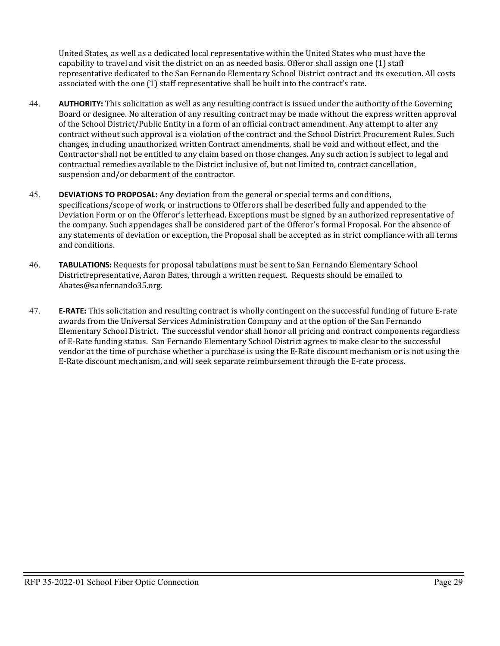United States, as well as a dedicated local representative within the United States who must have the capability to travel and visit the district on an as needed basis. Offeror shall assign one (1) staff representative dedicated to the San Fernando Elementary School District contract and its execution. All costs associated with the one (1) staff representative shall be built into the contract's rate.

- 44. **AUTHORITY:** This solicitation as well as any resulting contract is issued under the authority of the Governing Board or designee. No alteration of any resulting contract may be made without the express written approval of the School District/Public Entity in a form of an official contract amendment. Any attempt to alter any contract without such approval is a violation of the contract and the School District Procurement Rules. Such changes, including unauthorized written Contract amendments, shall be void and without effect, and the Contractor shall not be entitled to any claim based on those changes. Any such action is subject to legal and contractual remedies available to the District inclusive of, but not limited to, contract cancellation, suspension and/or debarment of the contractor.
- 45. **DEVIATIONS TO PROPOSAL:** Any deviation from the general or special terms and conditions, specifications/scope of work, or instructions to Offerors shall be described fully and appended to the Deviation Form or on the Offeror's letterhead. Exceptions must be signed by an authorized representative of the company. Such appendages shall be considered part of the Offeror's formal Proposal. For the absence of any statements of deviation or exception, the Proposal shall be accepted as in strict compliance with all terms and conditions.
- 46. **TABULATIONS:** Requests for proposal tabulations must be sent to San Fernando Elementary School Districtrepresentative, Aaron Bates, through a written request. Requests should be emailed to Abates@sanfernando35.org.
- 47. **E-RATE:** This solicitation and resulting contract is wholly contingent on the successful funding of future E-rate awards from the Universal Services Administration Company and at the option of the San Fernando Elementary School District. The successful vendor shall honor all pricing and contract components regardless of E-Rate funding status. San Fernando Elementary School District agrees to make clear to the successful vendor at the time of purchase whether a purchase is using the E-Rate discount mechanism or is not using the E-Rate discount mechanism, and will seek separate reimbursement through the E-rate process.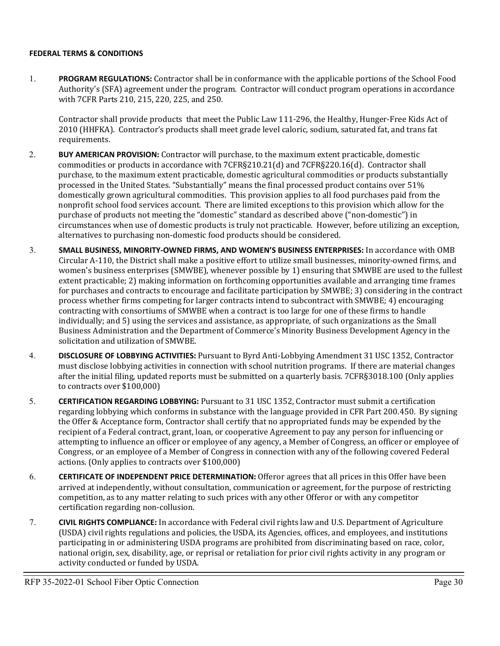#### **FEDERAL TERMS & CONDITIONS**

1. **PROGRAM REGULATIONS:** Contractor shall be in conformance with the applicable portions of the School Food Authority's (SFA) agreement under the program. Contractor will conduct program operations in accordance with 7CFR Parts 210, 215, 220, 225, and 250.

Contractor shall provide products that meet the Public Law 111-296, the Healthy, Hunger-Free Kids Act of 2010 (HHFKA). Contractor's products shall meet grade level caloric, sodium, saturated fat, and trans fat requirements.

- 2. **BUY AMERICAN PROVISION:** Contractor will purchase, to the maximum extent practicable, domestic commodities or products in accordance with 7CFR§210.21(d) and 7CFR§220.16(d). Contractor shall purchase, to the maximum extent practicable, domestic agricultural commodities or products substantially processed in the United States. "Substantially" means the final processed product contains over 51% domestically grown agricultural commodities. This provision applies to all food purchases paid from the nonprofit school food services account. There are limited exceptions to this provision which allow for the purchase of products not meeting the "domestic" standard as described above ("non-domestic") in circumstances when use of domestic products is truly not practicable. However, before utilizing an exception, alternatives to purchasing non-domestic food products should be considered.
- 3. **SMALL BUSINESS, MINORITY-OWNED FIRMS, AND WOMEN'S BUSINESS ENTERPRISES:** In accordance with OMB Circular A-110, the District shall make a positive effort to utilize small businesses, minority-owned firms, and women's business enterprises (SMWBE), whenever possible by 1) ensuring that SMWBE are used to the fullest extent practicable; 2) making information on forthcoming opportunities available and arranging time frames for purchases and contracts to encourage and facilitate participation by SMWBE; 3) considering in the contract process whether firms competing for larger contracts intend to subcontract with SMWBE; 4) encouraging contracting with consortiums of SMWBE when a contract is too large for one of these firms to handle individually; and 5) using the services and assistance, as appropriate, of such organizations as the Small Business Administration and the Department of Commerce's Minority Business Development Agency in the solicitation and utilization of SMWBE.
- 4. **DISCLOSURE OF LOBBYING ACTIVITIES:** Pursuant to Byrd Anti-Lobbying Amendment 31 USC 1352, Contractor must disclose lobbying activities in connection with school nutrition programs. If there are material changes after the initial filing, updated reports must be submitted on a quarterly basis. 7CFR§3018.100 (Only applies to contracts over \$100,000)
- 5. **CERTIFICATION REGARDING LOBBYING:** Pursuant to 31 USC 1352, Contractor must submit a certification regarding lobbying which conforms in substance with the language provided in CFR Part 200.450. By signing the Offer & Acceptance form, Contractor shall certify that no appropriated funds may be expended by the recipient of a Federal contract, grant, loan, or cooperative Agreement to pay any person for influencing or attempting to influence an officer or employee of any agency, a Member of Congress, an officer or employee of Congress, or an employee of a Member of Congress in connection with any of the following covered Federal actions. (Only applies to contracts over \$100,000)
- 6. **CERTIFICATE OF INDEPENDENT PRICE DETERMINATION:** Offeror agrees that all prices in this Offer have been arrived at independently, without consultation, communication or agreement, for the purpose of restricting competition, as to any matter relating to such prices with any other Offeror or with any competitor certification regarding non-collusion.
- 7. **CIVIL RIGHTS COMPLIANCE:** In accordance with Federal civil rights law and U.S. Department of Agriculture (USDA) civil rights regulations and policies, the USDA, its Agencies, offices, and employees, and institutions participating in or administering USDA programs are prohibited from discriminating based on race, color, national origin, sex, disability, age, or reprisal or retaliation for prior civil rights activity in any program or activity conducted or funded by USDA.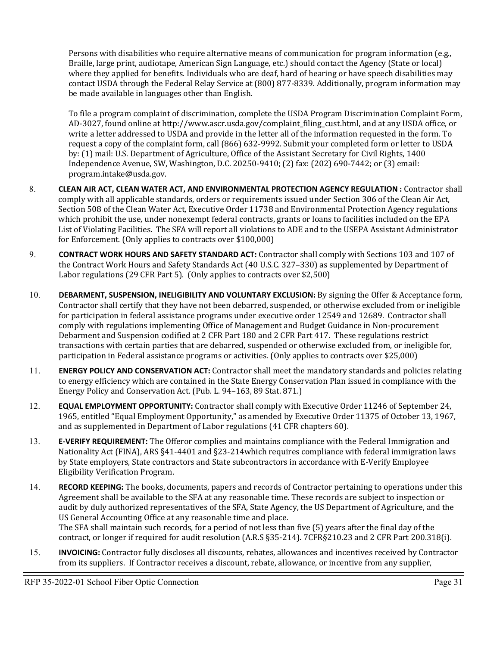Persons with disabilities who require alternative means of communication for program information (e.g., Braille, large print, audiotape, American Sign Language, etc.) should contact the Agency (State or local) where they applied for benefits. Individuals who are deaf, hard of hearing or have speech disabilities may contact USDA through the Federal Relay Service at (800) 877-8339. Additionally, program information may be made available in languages other than English.

To file a program complaint of discrimination, complete the USDA Program Discrimination Complaint Form, AD-3027, found online at http://www.ascr.usda.gov/complaint\_filing\_cust.html, and at any USDA office, or write a letter addressed to USDA and provide in the letter all of the information requested in the form. To request a copy of the complaint form, call (866) 632-9992. Submit your completed form or letter to USDA by: (1) mail: U.S. Department of Agriculture, Office of the Assistant Secretary for Civil Rights, 1400 Independence Avenue, SW, Washington, D.C. 20250-9410; (2) fax: (202) 690-7442; or (3) email: [program.intake@usda.gov.](mailto:program.intake@usda.gov)

- 8. **CLEAN AIR ACT, CLEAN WATER ACT, AND ENVIRONMENTAL PROTECTION AGENCY REGULATION :** Contractor shall comply with all applicable standards, orders or requirements issued under Section 306 of the Clean Air Act, Section 508 of the Clean Water Act, Executive Order 11738 and Environmental Protection Agency regulations which prohibit the use, under nonexempt federal contracts, grants or loans to facilities included on the EPA List of Violating Facilities. The SFA will report all violations to ADE and to the USEPA Assistant Administrator for Enforcement. (Only applies to contracts over \$100,000)
- 9. **CONTRACT WORK HOURS AND SAFETY STANDARD ACT:** Contractor shall comply with Sections 103 and 107 of the Contract Work Hours and Safety Standards Act (40 U.S.C. 327–330) as supplemented by Department of Labor regulations (29 CFR Part 5). (Only applies to contracts over \$2,500)
- 10. **DEBARMENT, SUSPENSION, INELIGIBILITY AND VOLUNTARY EXCLUSION:** By signing the Offer & Acceptance form, Contractor shall certify that they have not been debarred, suspended, or otherwise excluded from or ineligible for participation in federal assistance programs under executive order 12549 and 12689. Contractor shall comply with regulations implementing Office of Management and Budget Guidance in Non-procurement Debarment and Suspension codified at 2 CFR Part 180 and 2 CFR Part 417. These regulations restrict transactions with certain parties that are debarred, suspended or otherwise excluded from, or ineligible for, participation in Federal assistance programs or activities. (Only applies to contracts over \$25,000)
- 11. **ENERGY POLICY AND CONSERVATION ACT:** Contractor shall meet the mandatory standards and policies relating to energy efficiency which are contained in the State Energy Conservation Plan issued in compliance with the Energy Policy and Conservation Act. (Pub. L. 94–163, 89 Stat. 871.)
- 12. **EQUAL EMPLOYMENT OPPORTUNITY:** Contractor shall comply with Executive Order 11246 of September 24, 1965, entitled "Equal Employment Opportunity," as amended by Executive Order 11375 of October 13, 1967, and as supplemented in Department of Labor regulations (41 CFR chapters 60).
- 13. **E-VERIFY REQUIREMENT:** The Offeror complies and maintains compliance with the Federal Immigration and Nationality Act (FINA), ARS §41-4401 and §23-214which requires compliance with federal immigration laws by State employers, State contractors and State subcontractors in accordance with E-Verify Employee Eligibility Verification Program.
- 14. **RECORD KEEPING:** The books, documents, papers and records of Contractor pertaining to operations under this Agreement shall be available to the SFA at any reasonable time. These records are subject to inspection or audit by duly authorized representatives of the SFA, State Agency, the US Department of Agriculture, and the US General Accounting Office at any reasonable time and place. The SFA shall maintain such records, for a period of not less than five (5) years after the final day of the contract, or longer if required for audit resolution (A.R.S §35-214). 7CFR§210.23 and 2 CFR Part 200.318(i).
- 15. **INVOICING:** Contractor fully discloses all discounts, rebates, allowances and incentives received by Contractor from its suppliers. If Contractor receives a discount, rebate, allowance, or incentive from any supplier,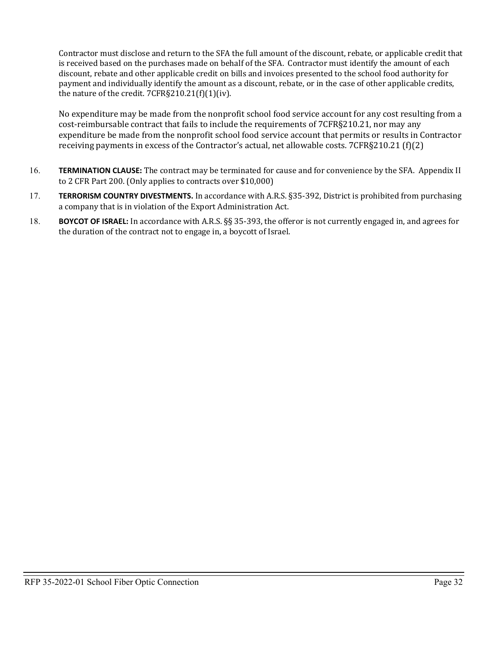Contractor must disclose and return to the SFA the full amount of the discount, rebate, or applicable credit that is received based on the purchases made on behalf of the SFA. Contractor must identify the amount of each discount, rebate and other applicable credit on bills and invoices presented to the school food authority for payment and individually identify the amount as a discount, rebate, or in the case of other applicable credits, the nature of the credit. 7CFR§210.21(f)(1)(iv).

No expenditure may be made from the nonprofit school food service account for any cost resulting from a cost-reimbursable contract that fails to include the requirements of 7CFR§210.21, nor may any expenditure be made from the nonprofit school food service account that permits or results in Contractor receiving payments in excess of the Contractor's actual, net allowable costs. 7CFR§210.21 (f)(2)

- 16. **TERMINATION CLAUSE:** The contract may be terminated for cause and for convenience by the SFA. Appendix II to 2 CFR Part 200. (Only applies to contracts over \$10,000)
- 17. **TERRORISM COUNTRY DIVESTMENTS.** In accordance with A.R.S. §35-392, District is prohibited from purchasing a company that is in violation of the Export Administration Act.
- 18. **BOYCOT OF ISRAEL:** In accordance with A.R.S. §§ 35-393, the offeror is not currently engaged in, and agrees for the duration of the contract not to engage in, a boycott of Israel.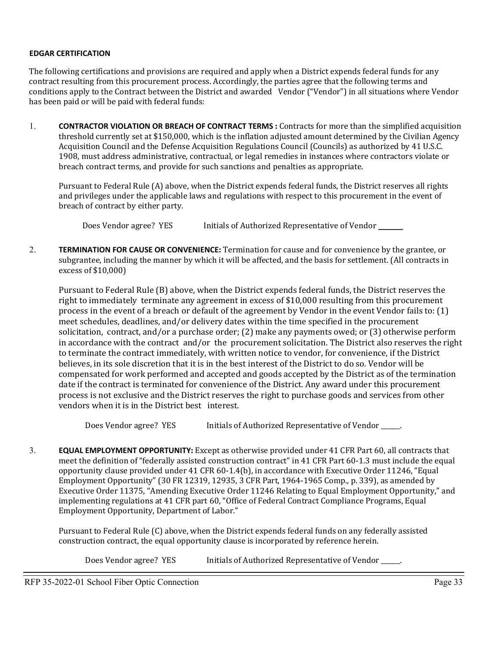#### **EDGAR CERTIFICATION**

The following certifications and provisions are required and apply when a District expends federal funds for any contract resulting from this procurement process. Accordingly, the parties agree that the following terms and conditions apply to the Contract between the District and awarded Vendor ("Vendor") in all situations where Vendor has been paid or will be paid with federal funds:

1. **CONTRACTOR VIOLATION OR BREACH OF CONTRACT TERMS :** Contracts for more than the simplified acquisition threshold currently set at \$150,000, which is the inflation adjusted amount determined by the Civilian Agency Acquisition Council and the Defense Acquisition Regulations Council (Councils) as authorized by 41 U.S.C. 1908, must address administrative, contractual, or legal remedies in instances where contractors violate or breach contract terms, and provide for such sanctions and penalties as appropriate.

Pursuant to Federal Rule (A) above, when the District expends federal funds, the District reserves all rights and privileges under the applicable laws and regulations with respect to this procurement in the event of breach of contract by either party.

Does Vendor agree? YES Initials of Authorized Representative of Vendor

2. **TERMINATION FOR CAUSE OR CONVENIENCE:** Termination for cause and for convenience by the grantee, or subgrantee, including the manner by which it will be affected, and the basis for settlement. (All contracts in excess of \$10,000)

Pursuant to Federal Rule (B) above, when the District expends federal funds, the District reserves the right to immediately terminate any agreement in excess of \$10,000 resulting from this procurement process in the event of a breach or default of the agreement by Vendor in the event Vendor fails to: (1) meet schedules, deadlines, and/or delivery dates within the time specified in the procurement solicitation, contract, and/or a purchase order; (2) make any payments owed; or (3) otherwise perform in accordance with the contract and/or the procurement solicitation. The District also reserves the right to terminate the contract immediately, with written notice to vendor, for convenience, if the District believes, in its sole discretion that it is in the best interest of the District to do so. Vendor will be compensated for work performed and accepted and goods accepted by the District as of the termination date if the contract is terminated for convenience of the District. Any award under this procurement process is not exclusive and the District reserves the right to purchase goods and services from other vendors when it is in the District best interest.

Does Vendor agree? YES Initials of Authorized Representative of Vendor \_\_\_\_\_.

3. **EQUAL EMPLOYMENT OPPORTUNITY:** Except as otherwise provided under 41 CFR Part 60, all contracts that meet the definition of "federally assisted construction contract" in 41 CFR Part 60-1.3 must include the equal opportunity clause provided under 41 CFR 60-1.4(b), in accordance with Executive Order 11246, "Equal Employment Opportunity" (30 FR 12319, 12935, 3 CFR Part, 1964-1965 Comp., p. 339), as amended by Executive Order 11375, "Amending Executive Order 11246 Relating to Equal Employment Opportunity," and implementing regulations at 41 CFR part 60, "Office of Federal Contract Compliance Programs, Equal Employment Opportunity, Department of Labor."

Pursuant to Federal Rule (C) above, when the District expends federal funds on any federally assisted construction contract, the equal opportunity clause is incorporated by reference herein.

Does Vendor agree? YES Initials of Authorized Representative of Vendor \_\_\_\_\_\_\_\_\_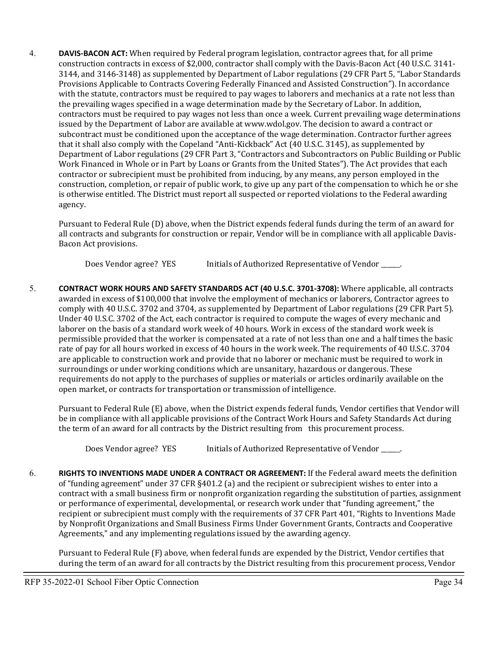4. **DAVIS-BACON ACT:** When required by Federal program legislation, contractor agrees that, for all prime construction contracts in excess of \$2,000, contractor shall comply with the Davis-Bacon Act (40 U.S.C. 3141- 3144, and 3146-3148) as supplemented by Department of Labor regulations (29 CFR Part 5, "Labor Standards Provisions Applicable to Contracts Covering Federally Financed and Assisted Construction"). In accordance with the statute, contractors must be required to pay wages to laborers and mechanics at a rate not less than the prevailing wages specified in a wage determination made by the Secretary of Labor. In addition, contractors must be required to pay wages not less than once a week. Current prevailing wage determinations issued by the Department of Labor are available at [www.wdol.gov.](http://www.wdol.gov/) The decision to award a contract or subcontract must be conditioned upon the acceptance of the wage determination. Contractor further agrees that it shall also comply with the Copeland "Anti-Kickback" Act (40 U.S.C. 3145), as supplemented by Department of Labor regulations (29 CFR Part 3, "Contractors and Subcontractors on Public Building or Public Work Financed in Whole or in Part by Loans or Grants from the United States"). The Act provides that each contractor or subrecipient must be prohibited from inducing, by any means, any person employed in the construction, completion, or repair of public work, to give up any part of the compensation to which he or she is otherwise entitled. The District must report all suspected or reported violations to the Federal awarding agency.

Pursuant to Federal Rule (D) above, when the District expends federal funds during the term of an award for all contracts and subgrants for construction or repair, Vendor will be in compliance with all applicable Davis-Bacon Act provisions.

Does Vendor agree? YES Initials of Authorized Representative of Vendor \_\_\_\_\_.

5. **CONTRACT WORK HOURS AND SAFETY STANDARDS ACT (40 U.S.C. 3701-3708):** Where applicable, all contracts awarded in excess of \$100,000 that involve the employment of mechanics or laborers, Contractor agrees to comply with 40 U.S.C. 3702 and 3704, as supplemented by Department of Labor regulations (29 CFR Part 5). Under 40 U.S.C. 3702 of the Act, each contractor is required to compute the wages of every mechanic and laborer on the basis of a standard work week of 40 hours. Work in excess of the standard work week is permissible provided that the worker is compensated at a rate of not less than one and a half times the basic rate of pay for all hours worked in excess of 40 hours in the work week. The requirements of 40 U.S.C. 3704 are applicable to construction work and provide that no laborer or mechanic must be required to work in surroundings or under working conditions which are unsanitary, hazardous or dangerous. These requirements do not apply to the purchases of supplies or materials or articles ordinarily available on the open market, or contracts for transportation or transmission of intelligence.

Pursuant to Federal Rule (E) above, when the District expends federal funds, Vendor certifies that Vendor will be in compliance with all applicable provisions of the Contract Work Hours and Safety Standards Act during the term of an award for all contracts by the District resulting from this procurement process.

Does Vendor agree? YES Initials of Authorized Representative of Vendor \_\_\_\_\_.

6. **RIGHTS TO INVENTIONS MADE UNDER A CONTRACT OR AGREEMENT:** If the Federal award meets the definition of "funding agreement" under 37 CFR §401.2 (a) and the recipient or subrecipient wishes to enter into a contract with a small business firm or nonprofit organization regarding the substitution of parties, assignment or performance of experimental, developmental, or research work under that "funding agreement," the recipient or subrecipient must comply with the requirements of 37 CFR Part 401, "Rights to Inventions Made by Nonprofit Organizations and Small Business Firms Under Government Grants, Contracts and Cooperative Agreements," and any implementing regulations issued by the awarding agency.

Pursuant to Federal Rule (F) above, when federal funds are expended by the District, Vendor certifies that during the term of an award for all contracts by the District resulting from this procurement process, Vendor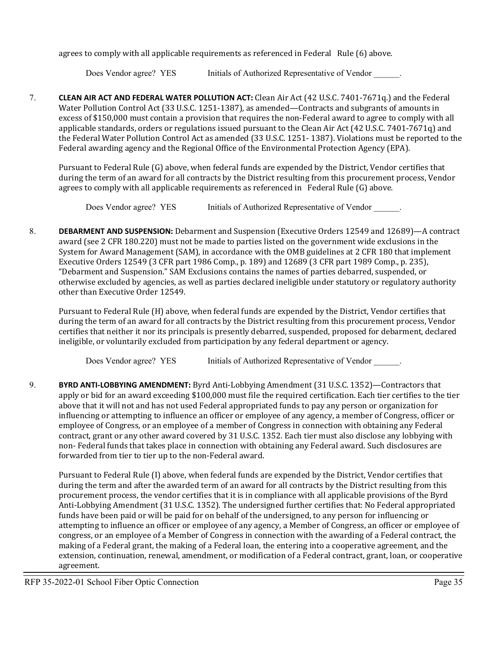agrees to comply with all applicable requirements as referenced in Federal Rule (6) above.

Does Vendor agree? YES Initials of Authorized Representative of Vendor  $\blacksquare$ .

7. **CLEAN AIR ACT AND FEDERAL WATER POLLUTION ACT:** Clean Air Act (42 U.S.C. 7401-7671q.) and the Federal Water Pollution Control Act (33 U.S.C. 1251-1387), as amended—Contracts and subgrants of amounts in excess of \$150,000 must contain a provision that requires the non-Federal award to agree to comply with all applicable standards, orders or regulations issued pursuant to the Clean Air Act (42 U.S.C. 7401-7671q) and the Federal Water Pollution Control Act as amended (33 U.S.C. 1251- 1387). Violations must be reported to the Federal awarding agency and the Regional Office of the Environmental Protection Agency (EPA).

Pursuant to Federal Rule (G) above, when federal funds are expended by the District, Vendor certifies that during the term of an award for all contracts by the District resulting from this procurement process, Vendor agrees to comply with all applicable requirements as referenced in Federal Rule (G) above.

Does Vendor agree? YES Initials of Authorized Representative of Vendor  $\blacksquare$ .

8. **DEBARMENT AND SUSPENSION:** Debarment and Suspension (Executive Orders 12549 and 12689)—A contract award (see 2 CFR 180.220) must not be made to parties listed on the government wide exclusions in the System for Award Management (SAM), in accordance with the OMB guidelines at 2 CFR 180 that implement Executive Orders 12549 (3 CFR part 1986 Comp., p. 189) and 12689 (3 CFR part 1989 Comp., p. 235), "Debarment and Suspension." SAM Exclusions contains the names of parties debarred, suspended, or otherwise excluded by agencies, as well as parties declared ineligible under statutory or regulatory authority other than Executive Order 12549.

Pursuant to Federal Rule (H) above, when federal funds are expended by the District, Vendor certifies that during the term of an award for all contracts by the District resulting from this procurement process, Vendor certifies that neither it nor its principals is presently debarred, suspended, proposed for debarment, declared ineligible, or voluntarily excluded from participation by any federal department or agency.

Does Vendor agree? YES Initials of Authorized Representative of Vendor  $\blacksquare$ .

9. **BYRD ANTI-LOBBYING AMENDMENT:** Byrd Anti-Lobbying Amendment (31 U.S.C. 1352)—Contractors that apply or bid for an award exceeding \$100,000 must file the required certification. Each tier certifies to the tier above that it will not and has not used Federal appropriated funds to pay any person or organization for influencing or attempting to influence an officer or employee of any agency, a member of Congress, officer or employee of Congress, or an employee of a member of Congress in connection with obtaining any Federal contract, grant or any other award covered by 31 U.S.C. 1352. Each tier must also disclose any lobbying with non- Federal funds that takes place in connection with obtaining any Federal award. Such disclosures are forwarded from tier to tier up to the non-Federal award.

Pursuant to Federal Rule (I) above, when federal funds are expended by the District, Vendor certifies that during the term and after the awarded term of an award for all contracts by the District resulting from this procurement process, the vendor certifies that it is in compliance with all applicable provisions of the Byrd Anti-Lobbying Amendment (31 U.S.C. 1352). The undersigned further certifies that: No Federal appropriated funds have been paid or will be paid for on behalf of the undersigned, to any person for influencing or attempting to influence an officer or employee of any agency, a Member of Congress, an officer or employee of congress, or an employee of a Member of Congress in connection with the awarding of a Federal contract, the making of a Federal grant, the making of a Federal loan, the entering into a cooperative agreement, and the extension, continuation, renewal, amendment, or modification of a Federal contract, grant, loan, or cooperative agreement.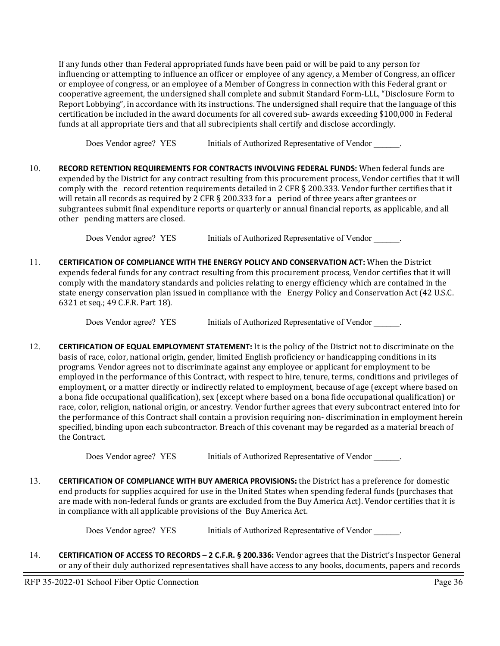If any funds other than Federal appropriated funds have been paid or will be paid to any person for influencing or attempting to influence an officer or employee of any agency, a Member of Congress, an officer or employee of congress, or an employee of a Member of Congress in connection with this Federal grant or cooperative agreement, the undersigned shall complete and submit Standard Form-LLL, "Disclosure Form to Report Lobbying", in accordance with its instructions. The undersigned shall require that the language of this certification be included in the award documents for all covered sub- awards exceeding \$100,000 in Federal funds at all appropriate tiers and that all subrecipients shall certify and disclose accordingly.

Does Vendor agree? YES Initials of Authorized Representative of Vendor .

10. **RECORD RETENTION REQUIREMENTS FOR CONTRACTS INVOLVING FEDERAL FUNDS:** When federal funds are expended by the District for any contract resulting from this procurement process, Vendor certifies that it will comply with the record retention requirements detailed in 2 CFR § 200.333. Vendor further certifies that it will retain all records as required by 2 CFR § 200.333 for a period of three years after grantees or subgrantees submit final expenditure reports or quarterly or annual financial reports, as applicable, and all other pending matters are closed.

Does Vendor agree? YES Initials of Authorized Representative of Vendor ...

11. **CERTIFICATION OF COMPLIANCE WITH THE ENERGY POLICY AND CONSERVATION ACT:** When the District expends federal funds for any contract resulting from this procurement process, Vendor certifies that it will comply with the mandatory standards and policies relating to energy efficiency which are contained in the state energy conservation plan issued in compliance with the Energy Policy and Conservation Act (42 U.S.C. 6321 et seq.; 49 C.F.R. Part 18).

Does Vendor agree? YES Initials of Authorized Representative of Vendor .

12. **CERTIFICATION OF EQUAL EMPLOYMENT STATEMENT:** It is the policy of the District not to discriminate on the basis of race, color, national origin, gender, limited English proficiency or handicapping conditions in its programs. Vendor agrees not to discriminate against any employee or applicant for employment to be employed in the performance of this Contract, with respect to hire, tenure, terms, conditions and privileges of employment, or a matter directly or indirectly related to employment, because of age (except where based on a bona fide occupational qualification), sex (except where based on a bona fide occupational qualification) or race, color, religion, national origin, or ancestry. Vendor further agrees that every subcontract entered into for the performance of this Contract shall contain a provision requiring non- discrimination in employment herein specified, binding upon each subcontractor. Breach of this covenant may be regarded as a material breach of the Contract.

Does Vendor agree? YES Initials of Authorized Representative of Vendor .

13. **CERTIFICATION OF COMPLIANCE WITH BUY AMERICA PROVISIONS:** the District has a preference for domestic end products for supplies acquired for use in the United States when spending federal funds (purchases that are made with non-federal funds or grants are excluded from the Buy America Act). Vendor certifies that it is in compliance with all applicable provisions of the Buy America Act.

Does Vendor agree? YES Initials of Authorized Representative of Vendor  $\blacksquare$ .

14. **CERTIFICATION OF ACCESS TO RECORDS – 2 C.F.R. § 200.336:** Vendor agrees that the District's Inspector General or any of their duly authorized representatives shall have access to any books, documents, papers and records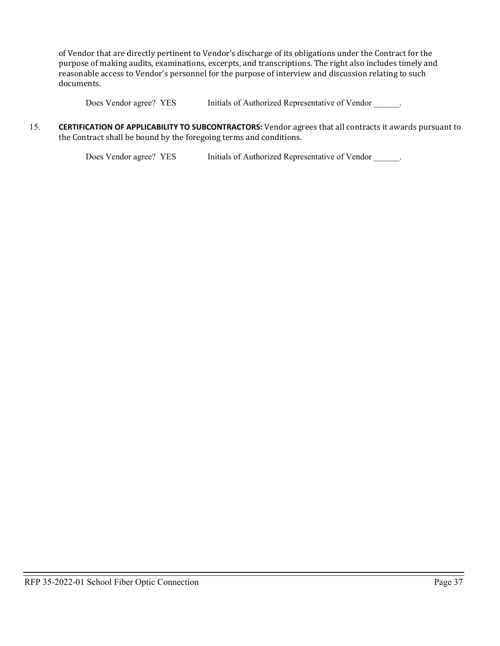of Vendor that are directly pertinent to Vendor's discharge of its obligations under the Contract for the purpose of making audits, examinations, excerpts, and transcriptions. The right also includes timely and reasonable access to Vendor's personnel for the purpose of interview and discussion relating to such documents.

Does Vendor agree? YES Initials of Authorized Representative of Vendor .

15. **CERTIFICATION OF APPLICABILITY TO SUBCONTRACTORS:** Vendor agrees that all contracts it awards pursuant to the Contract shall be bound by the foregoing terms and conditions.

Does Vendor agree? YES Initials of Authorized Representative of Vendor \_\_\_\_\_\_.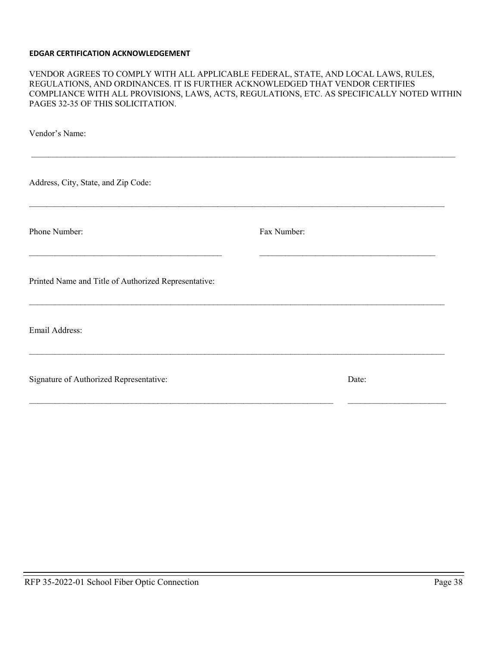#### **EDGAR CERTIFICATION ACKNOWLEDGEMENT**

#### VENDOR AGREES TO COMPLY WITH ALL APPLICABLE FEDERAL, STATE, AND LOCAL LAWS, RULES, REGULATIONS, AND ORDINANCES. IT IS FURTHER ACKNOWLEDGED THAT VENDOR CERTIFIES COMPLIANCE WITH ALL PROVISIONS, LAWS, ACTS, REGULATIONS, ETC. AS SPECIFICALLY NOTED WITHIN PAGES 32-35 OF THIS SOLICITATION.

| Vendor's Name:                                       |             |       |  |
|------------------------------------------------------|-------------|-------|--|
| Address, City, State, and Zip Code:                  |             |       |  |
| Phone Number:                                        | Fax Number: |       |  |
| Printed Name and Title of Authorized Representative: |             |       |  |
| Email Address:                                       |             |       |  |
| Signature of Authorized Representative:              |             | Date: |  |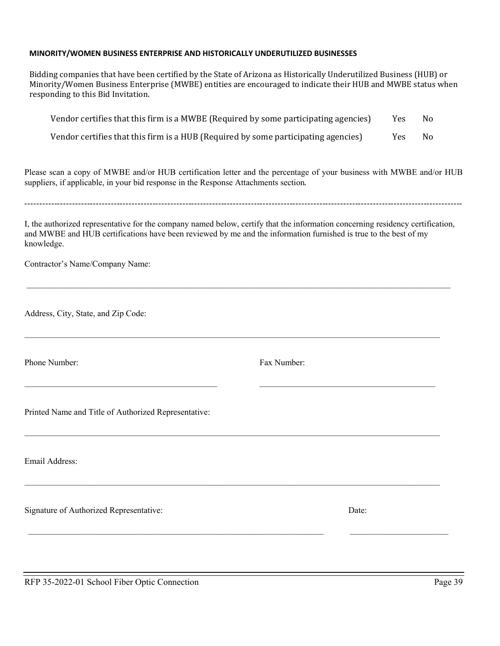#### **MINORITY/WOMEN BUSINESS ENTERPRISE AND HISTORICALLY UNDERUTILIZED BUSINESSES**

Bidding companies that have been certified by the State of Arizona as Historically Underutilized Business (HUB) or Minority/Women Business Enterprise (MWBE) entities are encouraged to indicate their HUB and MWBE status when responding to this Bid Invitation.

| Vendor certifies that this firm is a MWBE (Required by some participating agencies) | <b>Yes</b> | No. |
|-------------------------------------------------------------------------------------|------------|-----|
| Vendor certifies that this firm is a HUB (Required by some participating agencies)  | Yes.       | No. |

Please scan a copy of MWBE and/or HUB certification letter and the percentage of your business with MWBE and/or HUB suppliers, if applicable, in your bid response in the Response Attachments section.

 $-1\leq i\leq n-1$ 

I, the authorized representative for the company named below, certify that the information concerning residency certification, and MWBE and HUB certifications have been reviewed by me and the information furnished is true to the best of my knowledge.

 $\mathcal{L}_\mathcal{L} = \mathcal{L}_\mathcal{L} = \mathcal{L}_\mathcal{L} = \mathcal{L}_\mathcal{L} = \mathcal{L}_\mathcal{L} = \mathcal{L}_\mathcal{L} = \mathcal{L}_\mathcal{L} = \mathcal{L}_\mathcal{L} = \mathcal{L}_\mathcal{L} = \mathcal{L}_\mathcal{L} = \mathcal{L}_\mathcal{L} = \mathcal{L}_\mathcal{L} = \mathcal{L}_\mathcal{L} = \mathcal{L}_\mathcal{L} = \mathcal{L}_\mathcal{L} = \mathcal{L}_\mathcal{L} = \mathcal{L}_\mathcal{L}$ 

 $\mathcal{L}_\mathcal{L} = \mathcal{L}_\mathcal{L} = \mathcal{L}_\mathcal{L} = \mathcal{L}_\mathcal{L} = \mathcal{L}_\mathcal{L} = \mathcal{L}_\mathcal{L} = \mathcal{L}_\mathcal{L} = \mathcal{L}_\mathcal{L} = \mathcal{L}_\mathcal{L} = \mathcal{L}_\mathcal{L} = \mathcal{L}_\mathcal{L} = \mathcal{L}_\mathcal{L} = \mathcal{L}_\mathcal{L} = \mathcal{L}_\mathcal{L} = \mathcal{L}_\mathcal{L} = \mathcal{L}_\mathcal{L} = \mathcal{L}_\mathcal{L}$ 

\_\_\_\_\_\_\_\_\_\_\_\_\_\_\_\_\_\_\_\_\_\_\_\_\_\_\_\_\_\_\_\_\_\_\_\_\_\_\_\_\_\_\_\_\_ \_\_\_\_\_\_\_\_\_\_\_\_\_\_\_\_\_\_\_\_\_\_\_\_\_\_\_\_\_\_\_\_\_\_\_\_\_\_\_\_\_

 $\mathcal{L}_\mathcal{L} = \mathcal{L}_\mathcal{L} = \mathcal{L}_\mathcal{L} = \mathcal{L}_\mathcal{L} = \mathcal{L}_\mathcal{L} = \mathcal{L}_\mathcal{L} = \mathcal{L}_\mathcal{L} = \mathcal{L}_\mathcal{L} = \mathcal{L}_\mathcal{L} = \mathcal{L}_\mathcal{L} = \mathcal{L}_\mathcal{L} = \mathcal{L}_\mathcal{L} = \mathcal{L}_\mathcal{L} = \mathcal{L}_\mathcal{L} = \mathcal{L}_\mathcal{L} = \mathcal{L}_\mathcal{L} = \mathcal{L}_\mathcal{L}$ 

 $\mathcal{L}_\mathcal{L} = \mathcal{L}_\mathcal{L} = \mathcal{L}_\mathcal{L} = \mathcal{L}_\mathcal{L} = \mathcal{L}_\mathcal{L} = \mathcal{L}_\mathcal{L} = \mathcal{L}_\mathcal{L} = \mathcal{L}_\mathcal{L} = \mathcal{L}_\mathcal{L} = \mathcal{L}_\mathcal{L} = \mathcal{L}_\mathcal{L} = \mathcal{L}_\mathcal{L} = \mathcal{L}_\mathcal{L} = \mathcal{L}_\mathcal{L} = \mathcal{L}_\mathcal{L} = \mathcal{L}_\mathcal{L} = \mathcal{L}_\mathcal{L}$ 

\_\_\_\_\_\_\_\_\_\_\_\_\_\_\_\_\_\_\_\_\_\_\_\_\_\_\_\_\_\_\_\_\_\_\_\_\_\_\_\_\_\_\_\_\_\_\_\_\_\_\_\_\_\_\_\_\_\_\_\_\_\_\_\_\_\_\_\_\_ \_\_\_\_\_\_\_\_\_\_\_\_\_\_\_\_\_\_\_\_\_\_\_

Contractor's Name/Company Name:

Address, City, State, and Zip Code:

Phone Number: Fax Number:

Printed Name and Title of Authorized Representative:

Email Address:

Signature of Authorized Representative: Date: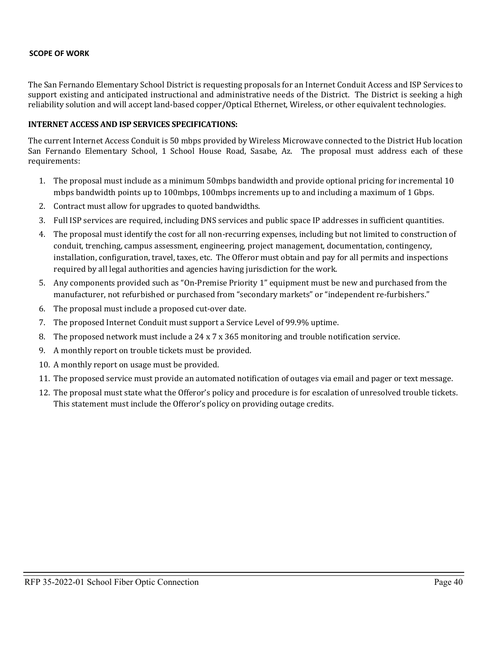#### **SCOPE OF WORK**

The San Fernando Elementary School District is requesting proposals for an Internet Conduit Access and ISP Services to support existing and anticipated instructional and administrative needs of the District. The District is seeking a high reliability solution and will accept land-based copper/Optical Ethernet, Wireless, or other equivalent technologies.

#### **INTERNET ACCESS AND ISP SERVICES SPECIFICATIONS:**

The current Internet Access Conduit is 50 mbps provided by Wireless Microwave connected to the District Hub location San Fernando Elementary School, 1 School House Road, Sasabe, Az. The proposal must address each of these requirements:

- 1. The proposal must include as a minimum 50mbps bandwidth and provide optional pricing for incremental 10 mbps bandwidth points up to 100mbps, 100mbps increments up to and including a maximum of 1 Gbps.
- 2. Contract must allow for upgrades to quoted bandwidths.
- 3. Full ISP services are required, including DNS services and public space IP addresses in sufficient quantities.
- 4. The proposal must identify the cost for all non-recurring expenses, including but not limited to construction of conduit, trenching, campus assessment, engineering, project management, documentation, contingency, installation, configuration, travel, taxes, etc. The Offeror must obtain and pay for all permits and inspections required by all legal authorities and agencies having jurisdiction for the work.
- 5. Any components provided such as "On-Premise Priority 1" equipment must be new and purchased from the manufacturer, not refurbished or purchased from "secondary markets" or "independent re-furbishers."
- 6. The proposal must include a proposed cut-over date.
- 7. The proposed Internet Conduit must support a Service Level of 99.9% uptime.
- 8. The proposed network must include a 24 x 7 x 365 monitoring and trouble notification service.
- 9. A monthly report on trouble tickets must be provided.
- 10. A monthly report on usage must be provided.
- 11. The proposed service must provide an automated notification of outages via email and pager or text message.
- 12. The proposal must state what the Offeror's policy and procedure is for escalation of unresolved trouble tickets. This statement must include the Offeror's policy on providing outage credits.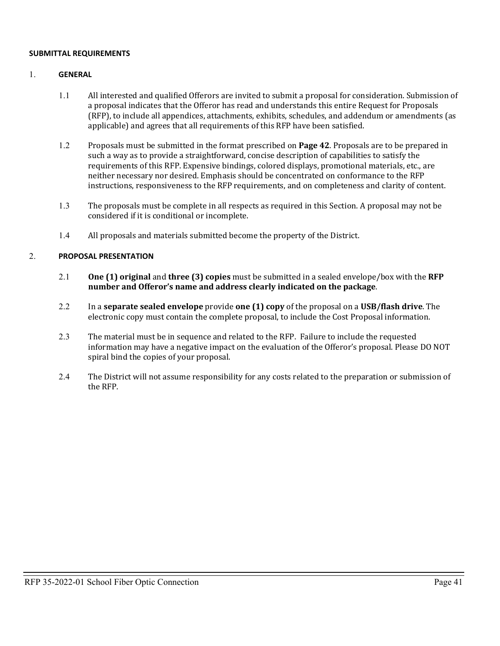#### **SUBMITTAL REQUIREMENTS**

#### 1. **GENERAL**

- 1.1 All interested and qualified Offerors are invited to submit a proposal for consideration. Submission of a proposal indicates that the Offeror has read and understands this entire Request for Proposals (RFP), to include all appendices, attachments, exhibits, schedules, and addendum or amendments (as applicable) and agrees that all requirements of this RFP have been satisfied.
- 1.2 Proposals must be submitted in the format prescribed on **Page 42**. Proposals are to be prepared in such a way as to provide a straightforward, concise description of capabilities to satisfy the requirements of this RFP. Expensive bindings, colored displays, promotional materials, etc., are neither necessary nor desired. Emphasis should be concentrated on conformance to the RFP instructions, responsiveness to the RFP requirements, and on completeness and clarity of content.
- 1.3 The proposals must be complete in all respects as required in this Section. A proposal may not be considered if it is conditional or incomplete.
- 1.4 All proposals and materials submitted become the property of the District.

#### 2. **PROPOSAL PRESENTATION**

- 2.1 **One (1) original** and **three (3) copies** must be submitted in a sealed envelope/box with the **RFP number and Offeror's name and address clearly indicated on the package**.
- 2.2 In a **separate sealed envelope** provide **one (1) copy** of the proposal on a **USB/flash drive**. The electronic copy must contain the complete proposal, to include the Cost Proposal information.
- 2.3 The material must be in sequence and related to the RFP. Failure to include the requested information may have a negative impact on the evaluation of the Offeror's proposal. Please DO NOT spiral bind the copies of your proposal.
- 2.4 The District will not assume responsibility for any costs related to the preparation or submission of the RFP.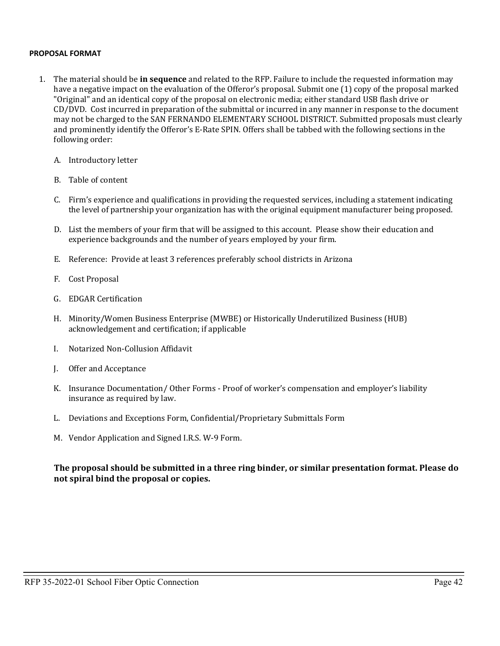#### **PROPOSAL FORMAT**

- 1. The material should be **in sequence** and related to the RFP. Failure to include the requested information may have a negative impact on the evaluation of the Offeror's proposal. Submit one (1) copy of the proposal marked "Original" and an identical copy of the proposal on electronic media; either standard USB flash drive or CD/DVD. Cost incurred in preparation of the submittal or incurred in any manner in response to the document may not be charged to the SAN FERNANDO ELEMENTARY SCHOOL DISTRICT. Submitted proposals must clearly and prominently identify the Offeror's E-Rate SPIN. Offers shall be tabbed with the following sections in the following order:
	- A. Introductory letter
	- B. Table of content
	- C. Firm's experience and qualifications in providing the requested services, including a statement indicating the level of partnership your organization has with the original equipment manufacturer being proposed.
	- D. List the members of your firm that will be assigned to this account. Please show their education and experience backgrounds and the number of years employed by your firm.
	- E. Reference: Provide at least 3 references preferably school districts in Arizona
	- F. Cost Proposal
	- G. EDGAR Certification
	- H. Minority/Women Business Enterprise (MWBE) or Historically Underutilized Business (HUB) acknowledgement and certification; if applicable
	- I. Notarized Non-Collusion Affidavit
	- J. Offer and Acceptance
	- K. Insurance Documentation/ Other Forms Proof of worker's compensation and employer's liability insurance as required by law.
	- L. Deviations and Exceptions Form, Confidential/Proprietary Submittals Form
	- M. Vendor Application and Signed I.R.S. W-9 Form.

#### **The proposal should be submitted in a three ring binder, or similar presentation format. Please do not spiral bind the proposal or copies.**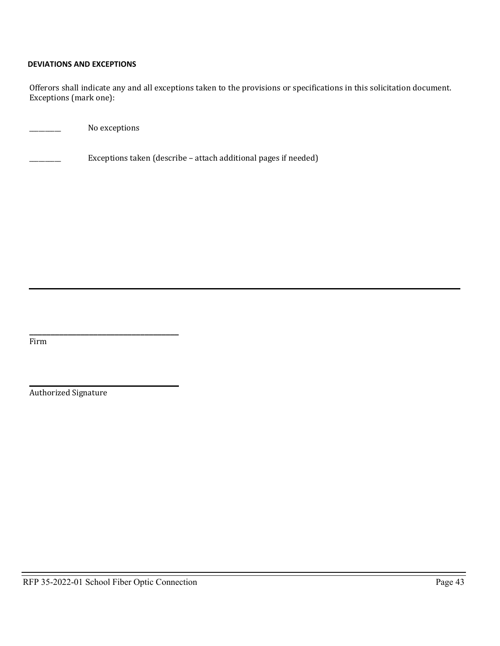#### **DEVIATIONS AND EXCEPTIONS**

Offerors shall indicate any and all exceptions taken to the provisions or specifications in this solicitation document. Exceptions (mark one):

No exceptions

Exceptions taken (describe – attach additional pages if needed)

Firm

 $\overline{\phantom{a}}$  ,  $\overline{\phantom{a}}$  ,  $\overline{\phantom{a}}$  ,  $\overline{\phantom{a}}$  ,  $\overline{\phantom{a}}$  ,  $\overline{\phantom{a}}$  ,  $\overline{\phantom{a}}$  ,  $\overline{\phantom{a}}$  ,  $\overline{\phantom{a}}$  ,  $\overline{\phantom{a}}$  ,  $\overline{\phantom{a}}$  ,  $\overline{\phantom{a}}$  ,  $\overline{\phantom{a}}$  ,  $\overline{\phantom{a}}$  ,  $\overline{\phantom{a}}$  ,  $\overline{\phantom{a}}$ Authorized Signature

**\_\_\_\_\_\_\_\_\_\_\_\_\_\_\_\_\_\_\_\_\_\_\_\_\_\_\_\_\_\_\_\_\_\_\_**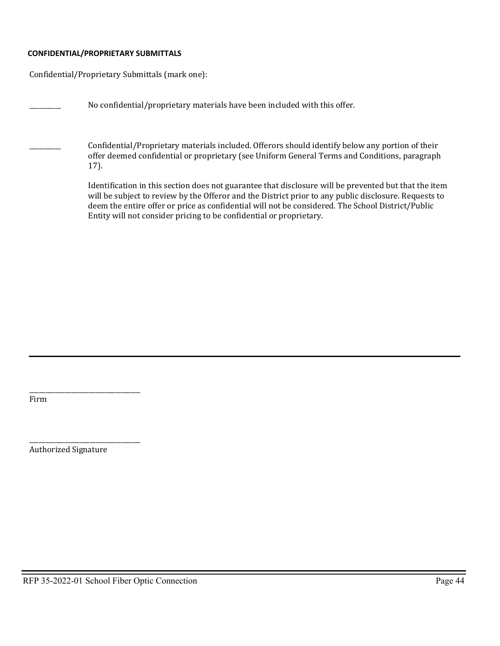#### **CONFIDENTIAL/PROPRIETARY SUBMITTALS**

Confidential/Proprietary Submittals (mark one):

No confidential/proprietary materials have been included with this offer. \_\_\_\_\_\_\_\_\_\_ Confidential/Proprietary materials included. Offerors should identify below any portion of their offer deemed confidential or proprietary (see Uniform General Terms and Conditions, paragraph 17). Identification in this section does not guarantee that disclosure will be prevented but that the item will be subject to review by the Offeror and the District prior to any public disclosure. Requests to deem the entire offer or price as confidential will not be considered. The School District/Public Entity will not consider pricing to be confidential or proprietary.

\_\_\_\_\_\_\_\_\_\_\_\_\_\_\_\_\_\_\_\_\_\_\_\_\_\_\_\_\_\_\_\_\_\_\_ Firm

\_\_\_\_\_\_\_\_\_\_\_\_\_\_\_\_\_\_\_\_\_\_\_\_\_\_\_\_\_\_\_\_\_\_\_ Authorized Signature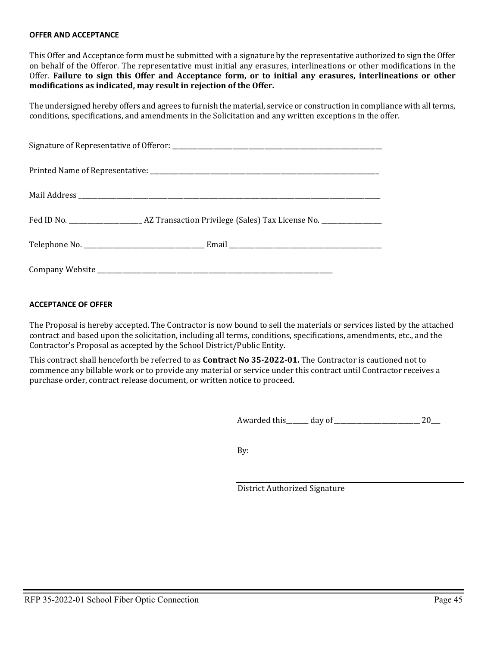#### **OFFER AND ACCEPTANCE**

This Offer and Acceptance form must be submitted with a signature by the representative authorized to sign the Offer on behalf of the Offeror. The representative must initial any erasures, interlineations or other modifications in the Offer. **Failure to sign this Offer and Acceptance form, or to initial any erasures, interlineations or other modifications as indicated, may result in rejection of the Offer.**

The undersigned hereby offers and agrees to furnish the material, service or construction in compliance with all terms, conditions, specifications, and amendments in the Solicitation and any written exceptions in the offer.

#### **ACCEPTANCE OF OFFER**

The Proposal is hereby accepted. The Contractor is now bound to sell the materials or services listed by the attached contract and based upon the solicitation, including all terms, conditions, specifications, amendments, etc., and the Contractor's Proposal as accepted by the School District/Public Entity.

This contract shall henceforth be referred to as **Contract No 35-2022-01.** The Contractor is cautioned not to commence any billable work or to provide any material or service under this contract until Contractor receives a purchase order, contract release document, or written notice to proceed.

Awarded this\_\_\_\_\_\_\_ day of\_\_\_\_\_\_\_\_\_\_\_\_\_\_\_\_\_\_\_\_\_\_\_\_\_\_\_ 20\_\_\_

By:

District Authorized Signature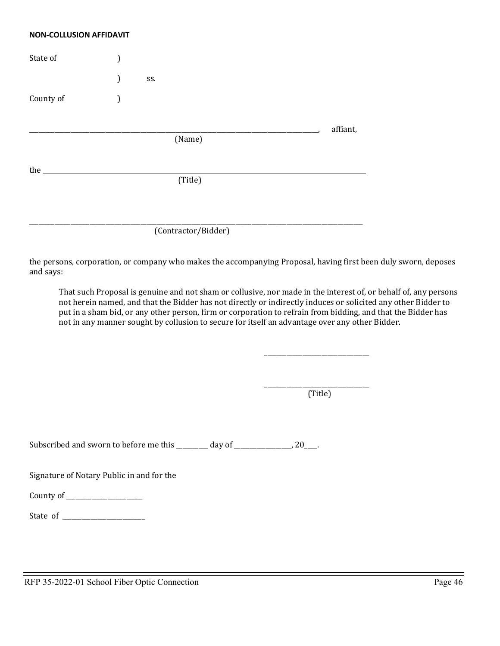#### **NON-COLLUSION AFFIDAVIT**

| State of  |   |     |                     |          |
|-----------|---|-----|---------------------|----------|
|           | ) | SS. |                     |          |
| County of |   |     |                     |          |
|           |   |     |                     | affiant, |
|           |   |     | (Name)              |          |
| the       |   |     |                     |          |
|           |   |     | (Title)             |          |
|           |   |     |                     |          |
|           |   |     | (Contractor/Bidder) |          |

the persons, corporation, or company who makes the accompanying Proposal, having first been duly sworn, deposes and says:

That such Proposal is genuine and not sham or collusive, nor made in the interest of, or behalf of, any persons not herein named, and that the Bidder has not directly or indirectly induces or solicited any other Bidder to put in a sham bid, or any other person, firm or corporation to refrain from bidding, and that the Bidder has not in any manner sought by collusion to secure for itself an advantage over any other Bidder.

> \_\_\_\_\_\_\_\_\_\_\_\_\_\_\_\_\_\_\_\_\_\_\_\_\_\_\_\_\_\_\_\_\_ (Title)

\_\_\_\_\_\_\_\_\_\_\_\_\_\_\_\_\_\_\_\_\_\_\_\_\_\_\_\_\_\_\_\_\_

Subscribed and sworn to before me this \_\_\_\_\_\_\_\_ day of \_\_\_\_\_\_\_\_\_\_\_\_\_\_\_\_\_, 20\_\_\_\_.

Signature of Notary Public in and for the

County of \_\_\_\_\_\_\_\_\_\_\_\_\_\_\_\_\_\_\_\_\_\_\_\_

State of \_\_\_\_\_\_\_\_\_\_\_\_\_\_\_\_\_\_\_\_\_\_\_\_\_\_